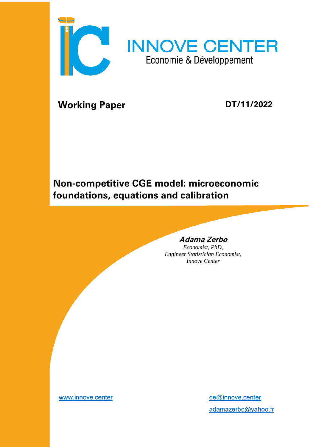



## **Working Paper**

**DT/11/2022**

# **Non-competitive CGE model: microeconomic foundations, equations and calibration**

## **Adama Zerbo**

*Economist, PhD, Engineer Statistician Economist, Innove Center*

www.innove.center

de@innove.center adamazerbo@yahoo.fr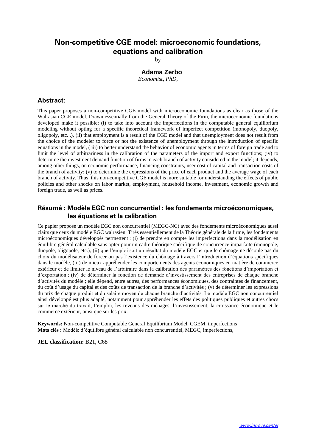## **Non-competitive CGE model: microeconomic foundations, equations and calibration**

by

## **Adama Zerbo**

*Economist, PhD,* 

## **Abstract:**

This paper proposes a non-competitive CGE model with microeconomic foundations as clear as those of the Walrasian CGE model. Drawn essentially from the General Theory of the Firm, the microeconomic foundations developed make it possible: (i) to take into account the imperfections in the computable general equilibrium modeling without opting for a specific theoretical framework of imperfect competition (monopoly, duopoly, oligopoly, etc. .), (ii) that employment is a result of the CGE model and that unemployment does not result from the choice of the modeler to force or not the existence of unemployment through the introduction of specific equations in the model, ( iii) to better understand the behavior of economic agents in terms of foreign trade and to limit the level of arbitrariness in the calibration of the parameters of the import and export functions; (iv) to determine the investment demand function of firms in each branch of activity considered in the model; it depends, among other things, on economic performance, financing constraints, user cost of capital and transaction costs of the branch of activity; (v) to determine the expressions of the price of each product and the average wage of each branch of activity. Thus, this non-competitive CGE model is more suitable for understanding the effects of public policies and other shocks on labor market, employment, household income, investment, economic growth and foreign trade, as well as prices.

## **Résumé : Modèle EGC non concurrentiel : les fondements microéconomiques, les équations et la calibration**

Ce papier propose un modèle EGC non concurrentiel (MEGC-NC) avec des fondements microéconomiques aussi clairs que ceux du modèle EGC walrasien. Tirés essentiellement de la Théorie générale de la firme, les fondements microéconomiques développés permettent : (i) de prendre en compte les imperfections dans la modélisation en équilibre général calculable sans opter pour un cadre théorique spécifique de concurrence imparfaite (monopole, duopole, oligopole, etc.), (ii) que l'emploi soit un résultat du modèle EGC et que le chômage ne découle pas du choix du modélisateur de forcer ou pas l'existence du chômage à travers l'introduction d'équations spécifiques dans le modèle, (iii) de mieux appréhender les comportements des agents économiques en matière de commerce extérieur et de limiter le niveau de l'arbitraire dans la calibration des paramètres des fonctions d'importation et d'exportation ; (iv) de déterminer la fonction de demande d'investissement des entreprises de chaque branche d'activités du modèle ; elle dépend, entre autres, des performances économiques, des contraintes de financement, du coût d'usage du capital et des coûts de transaction de la branche d'activités ; (v) de déterminer les expressions du prix de chaque produit et du salaire moyen de chaque branche d'activités. Le modèle EGC non concurrentiel ainsi développé est plus adapté, notamment pour appréhender les effets des politiques publiques et autres chocs sur le marché du travail, l'emploi, les revenus des ménages, l'investissement, la croissance économique et le commerce extérieur, ainsi que sur les prix.

**Keywords:** Non-competitive Computable General Equilibrium Model, CGEM, imperfections **Mots clés :** Modèle d'équilibre général calculable non concurrentiel, MEGC, imperfections,

**JEL classification:** B21, C68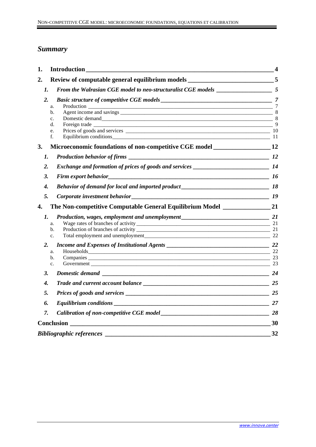## *Summary*

| 1.                              | <b>Introduction</b>                                                                 |                |  |
|---------------------------------|-------------------------------------------------------------------------------------|----------------|--|
| 2.                              | Review of computable general equilibrium models _________________________________5  |                |  |
| 1.                              |                                                                                     |                |  |
| 2.                              | Production<br>a.                                                                    | $\overline{7}$ |  |
|                                 | $\mathbf{b}$ .<br>c.<br>d.                                                          | 9              |  |
|                                 | e.<br>f.<br>Equilibrium conditions 11                                               |                |  |
| 3.                              | Microeconomic foundations of non-competitive CGE model ______________________12     |                |  |
| 1.                              |                                                                                     |                |  |
| 2.                              |                                                                                     |                |  |
| 3.                              | Firm export behavior 16                                                             |                |  |
| 4.                              |                                                                                     |                |  |
| 5.                              |                                                                                     |                |  |
| 4.                              | The Non-competitive Computable General Equilibrium Model ________________________21 |                |  |
| $\boldsymbol{l}$ .              |                                                                                     |                |  |
|                                 | a.                                                                                  |                |  |
|                                 | b.<br>$\mathbf{c}$ .                                                                | 21             |  |
| 2.                              |                                                                                     |                |  |
|                                 | a.                                                                                  |                |  |
|                                 | b.                                                                                  |                |  |
|                                 | $\mathbf{c}$ .                                                                      |                |  |
| 3.                              |                                                                                     |                |  |
| 4.                              |                                                                                     |                |  |
| 5.                              |                                                                                     |                |  |
| 6.                              |                                                                                     |                |  |
| 7.                              |                                                                                     |                |  |
|                                 | <b>Conclusion</b>                                                                   | 30             |  |
| <b>Bibliographic references</b> |                                                                                     |                |  |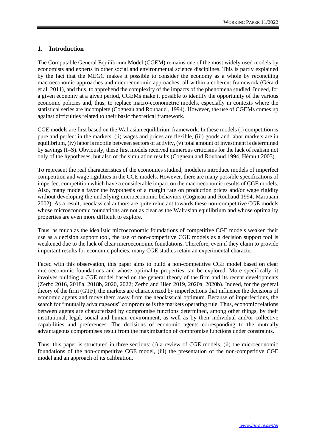## <span id="page-3-0"></span>**1. Introduction**

The Computable General Equilibrium Model (CGEM) remains one of the most widely used models by economists and experts in other social and environmental science disciplines. This is partly explained by the fact that the MEGC makes it possible to consider the economy as a whole by reconciling macroeconomic approaches and microeconomic approaches, all within a coherent framework (Gérard et al. 2011), and thus, to apprehend the complexity of the impacts of the phenomena studied. Indeed, for a given economy at a given period, CGEMs make it possible to identify the opportunity of the various economic policies and, thus, to replace macro-econometric models, especially in contexts where the statistical series are incomplete (Cogneau and Roubaud , 1994). However, the use of CGEMs comes up against difficulties related to their basic theoretical framework.

CGE models are first based on the Walrasian equilibrium framework. In these models (i) competition is pure and perfect in the markets, (ii) wages and prices are flexible, (iii) goods and labor markets are in equilibrium, (iv) labor is mobile between sectors of activity, (v) total amount of investment is determined by savings (I=S). Obviously, these first models received numerous criticisms for the lack of realism not only of the hypotheses, but also of the simulation results (Cogneau and Roubaud 1994, Hérault 2003).

To represent the real characteristics of the economies studied, modelers introduce models of imperfect competition and wage rigidities in the CGE models. However, there are many possible specifications of imperfect competition which have a considerable impact on the macroeconomic results of CGE models. Also, many models favor the hypothesis of a margin rate on production prices and/or wage rigidity without developing the underlying microeconomic behaviors (Cogneau and Roubaud 1994, Marouani 2002). As a result, neoclassical authors are quite reluctant towards these non-competitive CGE models whose microeconomic foundations are not as clear as the Walrasian equilibrium and whose optimality properties are even more difficult to explore.

Thus, as much as the idealistic microeconomic foundations of competitive CGE models weaken their use as a decision support tool, the use of non-competitive CGE models as a decision support tool is weakened due to the lack of clear microeconomic foundations. Therefore, even if they claim to provide important results for economic policies, many CGE studies retain an experimental character.

Faced with this observation, this paper aims to build a non-competitive CGE model based on clear microeconomic foundations and whose optimality properties can be explored. More specifically, it involves building a CGE model based on the general theory of the firm and its recent developments (Zerbo 2016, 2018a, 2018b, 2020, 2022; Zerbo and Hien 2019, 2020a, 2020b). Indeed, for the general theory of the firm (GTF), the markets are characterized by imperfections that influence the decisions of economic agents and move them away from the neoclassical optimum. Because of imperfections, the search for "mutually advantageous" compromise is the markets operating rule. Thus, economic relations between agents are characterized by compromise functions determined, among other things, by their institutional, legal, social and human environment, as well as by their individual and/or collective capabilities and preferences. The decisions of economic agents corresponding to the mutually advantageous compromises result from the maximization of compromise functions under constraints.

Thus, this paper is structured in three sections: (i) a review of CGE models, (ii) the microeconomic foundations of the non-competitive CGE model, (iii) the presentation of the non-competitive CGE model and an approach of its calibration.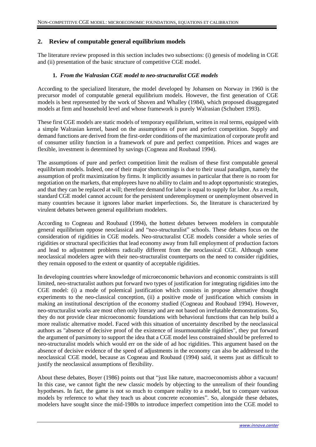## <span id="page-4-0"></span>**2. Review of computable general equilibrium models**

The literature review proposed in this section includes two subsections: (i) genesis of modeling in CGE and (ii) presentation of the basic structure of competitive CGE model.

## **1.** *From the Walrasian CGE model to neo-structuralist CGE models*

<span id="page-4-1"></span>According to the specialized literature, the model developed by Johansen on Norway in 1960 is the precursor model of computable general equilibrium models. However, the first generation of CGE models is best represented by the work of Shoven and Whalley (1984), which proposed disaggregated models at firm and household level and whose framework is purely Walrasian (Schubert 1993).

These first CGE models are static models of temporary equilibrium, written in real terms, equipped with a simple Walrasian kernel, based on the assumptions of pure and perfect competition. Supply and demand functions are derived from the first-order conditions of the maximization of corporate profit and of consumer utility function in a framework of pure and perfect competition. Prices and wages are flexible, investment is determined by savings (Cogneau and Roubaud 1994).

The assumptions of pure and perfect competition limit the realism of these first computable general equilibrium models. Indeed, one of their major shortcomings is due to their usual paradigm, namely the assumption of profit maximization by firms. It implicitly assumes in particular that there is no room for negotiation on the markets, that employees have no ability to claim and to adopt opportunistic strategies, and that they can be replaced at will; therefore demand for labor is equal to supply for labor. As a result, standard CGE model cannot account for the persistent underemployment or unemployment observed in many countries because it ignores labor market imperfections. So, the literature is characterized by virulent debates between general equilibrium modelers.

According to Cogneau and Roubaud (1994), the hottest debates between modelers in computable general equilibrium oppose neoclassical and "neo-structuralist" schools. These debates focus on the consideration of rigidities in CGE models. Neo-structuralist CGE models consider a whole series of rigidities or structural specificities that lead economy away from full employment of production factors and lead to adjustment problems radically different from the neoclassical CGE. Although some neoclassical modelers agree with their neo-structuralist counterparts on the need to consider rigidities, they remain opposed to the extent or quantity of acceptable rigidities.

In developing countries where knowledge of microeconomic behaviors and economic constraints is still limited, neo-structuralist authors put forward two types of justification for integrating rigidities into the CGE model: (i) a mode of polemical justification which consists in propose alternative thought experiments to the neo-classical conception, (ii) a positive mode of justification which consists in making an institutional description of the economy studied (Cogneau and Roubaud 1994). However, neo-structuralist works are most often only literary and are not based on irrefutable demonstrations. So, they do not provide clear microeconomic foundations with behavioral functions that can help build a more realistic alternative model. Faced with this situation of uncertainty described by the neoclassical authors as "absence of decisive proof of the existence of insurmountable rigidities", they put forward the argument of parsimony to support the idea that a CGE model less constrained should be preferred to neo-structuralist models which would err on the side of ad hoc rigidities. This argument based on the absence of decisive evidence of the speed of adjustments in the economy can also be addressed to the neoclassical CGE model, because as Cogneau and Roubaud (1994) said, it seems just as difficult to justify the neoclassical assumptions of flexibility.

About these debates, Boyer (1986) points out that "just like nature, macroeconomists abhor a vacuum! In this case, we cannot fight the new classic models by objecting to the unrealism of their founding hypotheses. In fact, the game is not so much to compare reality to a model, but to compare various models by reference to what they teach us about concrete economies". So, alongside these debates, modelers have sought since the mid-1980s to introduce imperfect competition into the CGE model to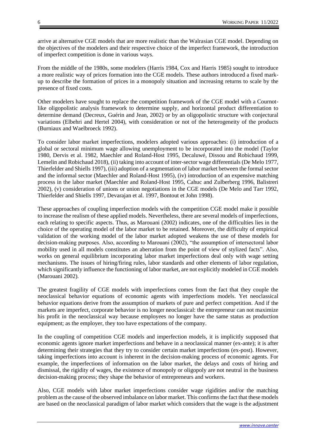arrive at alternative CGE models that are more realistic than the Walrasian CGE model. Depending on the objectives of the modelers and their respective choice of the imperfect framework, the introduction of imperfect competition is done in various ways.

From the middle of the 1980s, some modelers (Harris 1984, Cox and Harris 1985) sought to introduce a more realistic way of prices formation into the CGE models. These authors introduced a fixed markup to describe the formation of prices in a monopoly situation and increasing returns to scale by the presence of fixed costs.

Other modelers have sought to replace the competition framework of the CGE model with a Cournotlike oligopolistic analysis framework to determine supply, and horizontal product differentiation to determine demand (Decreux, Guérin and Jean, 2002) or by an oligopolistic structure with conjectural variations (Elbehri and Hertel 2004), with consideration or not of the heterogeneity of the products (Burniaux and Waelbroeck 1992).

To consider labor market imperfections, modelers adopted various approaches: (i) introduction of a global or sectoral minimum wage allowing unemployment to be incorporated into the model (Taylor 1980, Dervis et al. 1982, Maechler and Roland-Host 1995, Decaluwé, Dissou and Robichaud 1999, Lemelin and Robichaud 2018), (ii) taking into account of inter-sector wage differentials (De Melo 1977, Thierfelder and Shiells 1997), (iii) adoption of a segmentation of labor market between the formal sector and the informal sector (Maechler and Roland-Host 1995), (iv) introduction of an expensive matching process in the labor market (Maechler and Roland-Host 1995, Cahuc and Zulberberg 1996, Balistreri 2002), (v) consideration of unions or union negotiations in the CGE models (De Melo and Tarr 1992, Thierfelder and Shiells 1997, Devarajan et al. 1997, Bontout et John 1998).

These approaches of coupling imperfection models with the competition CGE model make it possible to increase the realism of these applied models. Nevertheless, there are several models of imperfections, each relating to specific aspects. Thus, as Marouani (2002) indicates, one of the difficulties lies in the choice of the operating model of the labor market to be retained. Moreover, the difficulty of empirical validation of the working model of the labor market adopted weakens the use of these models for decision-making purposes. Also, according to Marouani (2002), "the assumption of intersectoral labor mobility used in all models constitutes an aberration from the point of view of stylized facts". Also, works on general equilibrium incorporating labor market imperfections deal only with wage setting mechanisms. The issues of hiring/firing rules, labor standards and other elements of labor regulation, which significantly influence the functioning of labor market, are not explicitly modeled in CGE models (Marouani 2002).

The greatest fragility of CGE models with imperfections comes from the fact that they couple the neoclassical behavior equations of economic agents with imperfections models. Yet neoclassical behavior equations derive from the assumption of markets of pure and perfect competition. And if the markets are imperfect, corporate behavior is no longer neoclassical: the entrepreneur can not maximize his profit in the neoclassical way because employees no longer have the same status as production equipment; as the employer, they too have expectations of the company.

In the coupling of competition CGE models and imperfection models, it is implicitly supposed that economic agents ignore market imperfections and behave in a neoclassical manner (ex-ante); it is after determining their strategies that they try to consider certain market imperfections (ex-post). However, taking imperfections into account is inherent in the decision-making process of economic agents. For example, the imperfections of information on the labor market, the delays and costs of hiring and dismissal, the rigidity of wages, the existence of monopoly or oligopoly are not neutral in the business decision-making process; they shape the behavior of entrepreneurs and workers.

Also, CGE models with labor market imperfections consider wage rigidities and/or the matching problem as the cause of the observed imbalance on labor market. This confirms the fact that these models are based on the neoclassical paradigm of labor market which considers that the wage is the adjustment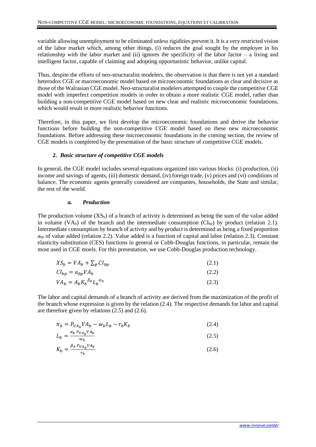variable allowing unemployment to be eliminated unless rigidities prevent it. It is a very restricted vision of the labor market which, among other things, (i) reduces the goal sought by the employer in his relationship with the labor market and (ii) ignores the specificity of the labor factor  $-$  a living and intelligent factor, capable of claiming and adopting opportunistic behavior, unlike capital.

Thus, despite the efforts of neo-structuralist modelers, the observation is that there is not yet a standard heterodox CGE or macroeconomic model based on microeconomic foundations as clear and decisive as those of the Walrasian CGE model. Neo-structuralist modelers attempted to couple the competitive CGE model with imperfect competition models in order to obtain a more realistic CGE model, rather than building a non-competitive CGE model based on new clear and realistic microeconomic foundations, which would result in more realistic behavior functions.

Therefore, in this paper, we first develop the microeconomic foundations and derive the behavior functions before building the non-competitive CGE model based on these new microeconomic foundations. Before addressing these microeconomic foundations in the coming section, the review of CGE models is completed by the presentation of the basic structure of competitive CGE models.

## **2.** *Basic structure of competitive CGE models*

<span id="page-6-0"></span>In general, the CGE model includes several equations organized into various blocks: (i) production, (ii) income and savings of agents, (iii) domestic demand, (iv) foreign trade, (v) prices and (vi) conditions of balance. The economic agents generally considered are companies, households, the State and similar, the rest of the world.

## *a. Production*

<span id="page-6-1"></span>The production volume  $(XS_b)$  of a branch of activity is determined as being the sum of the value added in volume (VAb) of the branch and the intermediate consumption  $(Cl_{bp})$  by product (relation 2.1). Intermediate consumption by branch of activity and by product is determined as being a fixed proportion  $a_{\text{bp}}$  of value added (relation 2.2). Value added is a function of capital and labor (relation 2.3). Constant elasticity substitution (CES) functions in general or Cobb-Douglas functions, in particular, remain the most used in CGE moels. For this presentation, we use Cobb-Douglas production technology.

| $XS_b = VA_b + \sum_p CI_{bp}$                | (2.1) |
|-----------------------------------------------|-------|
| $CI_{bp} = a_{bp}VA_b$                        | (2.2) |
| $VA_b = A_b K_b{}^{\beta_b} L_b{}^{\alpha_b}$ | (2.3) |

The labor and capital demands of a branch of activity are derived from the maximization of the profit of the branch whose expression is given by the relation (2.4). The respective demands for labor and capital are therefore given by relations (2.5) and (2.6).

$$
\pi_b = P_{VA_b} V A_b - w_b L_b - r_b K_b \tag{2.4}
$$

$$
L_b = \frac{\alpha_b \, P_{VA_b} V A_b}{w_b} \tag{2.5}
$$

$$
K_b = \frac{\beta_b \, P_{VA_b} V A_b}{r_b} \tag{2.6}
$$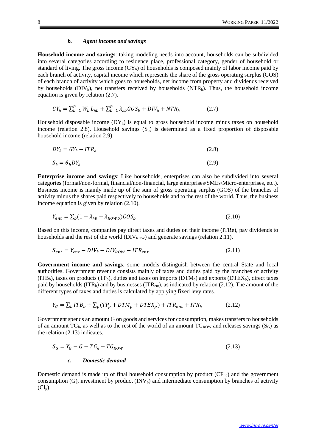#### *b. Agent income and savings*

<span id="page-7-0"></span>**Household income and savings**: taking modeling needs into account, households can be subdivided into several categories according to residence place, professional category, gender of household or standard of living. The gross income  $(GY_h)$  of households is composed mainly of labor income paid by each branch of activity, capital income which represents the share of the gross operating surplus (GOS) of each branch of activity which goes to households, net income from property and dividends received by households ( $\text{DIV}_h$ ), net transfers received by households ( $\text{NTR}_h$ ). Thus, the household income equation is given by relation (2.7).

$$
GY_h = \sum_{b=1}^{B} W_b L_{hb} + \sum_{b=1}^{B} \lambda_{hb} GOS_b + DIV_h + NTR_h \tag{2.7}
$$

Household disposable income  $(DY_h)$  is equal to gross household income minus taxes on household income (relation 2.8). Household savings  $(S_h)$  is determined as a fixed proportion of disposable household income (relation 2.9).

$$
DY_h = GY_h - ITR_h \tag{2.8}
$$

$$
S_h = \theta_h D Y_h \tag{2.9}
$$

**Enterprise income and savings**: Like households, enterprises can also be subdivided into several categories (formal/non-formal, financial/non-financial, large enterprises/SMEs/Micro-enterprises, etc.). Business income is mainly made up of the sum of gross operating surplus (GOS) of the branches of activity minus the shares paid respectively to households and to the rest of the world. Thus, the business income equation is given by relation (2.10).

$$
Y_{ent} = \sum_{b} (1 - \lambda_{hb} - \lambda_{ROWb}) GOS_b \tag{2.10}
$$

Based on this income, companies pay direct taxes and duties on their income (ITRe), pay dividends to households and the rest of the world  $(DIV_{ROW})$  and generate savings (relation 2.11).

$$
S_{ent} = Y_{ent} - DIV_h - DIV_{Row} - ITR_{ent}
$$
\n(2.11)

**Government income and savings**: some models distinguish between the central State and local authorities. Government revenue consists mainly of taxes and duties paid by the branches of activity  $(ITB_b)$ , taxes on products  $(TP_p)$ , duties and taxes on imports  $(DTM_p)$  and exports  $(DTEX_p)$ , direct taxes paid by households  $(ITR<sub>h</sub>)$  and by businesses  $(ITR<sub>ent</sub>)$ , as indicated by relation (2.12). The amount of the different types of taxes and duties is calculated by applying fixed levy rates.

$$
Y_G = \sum_b I T B_b + \sum_p (T P_p + D T M_p + D T E X_p) + I T R_{ent} + I T R_h \tag{2.12}
$$

Government spends an amount G on goods and services for consumption, makes transfers to households of an amount  $TG<sub>h</sub>$ , as well as to the rest of the world of an amount  $TG<sub>Row</sub>$  and releases savings ( $S<sub>G</sub>$ ) as the relation (2.13) indicates.

$$
S_G = Y_G - G - T G_h - T G_{ROW} \tag{2.13}
$$

#### *c. Domestic demand*

<span id="page-7-1"></span>Domestic demand is made up of final household consumption by product  $(CF_{hp})$  and the government consumption (G), investment by product  $(INV_p)$  and intermediate consumption by branches of activity  $(Cl<sub>p</sub>)$ .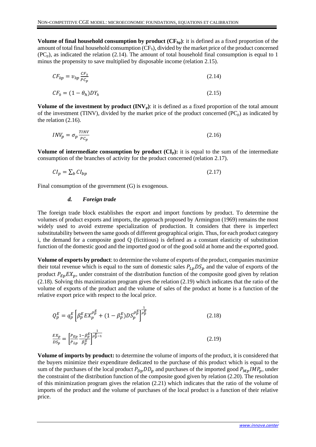**Volume of final household consumption by product (** $CF<sub>hp</sub>$ **): it is defined as a fixed proportion of the** amount of total final household consumption  $(CF_h)$ , divided by the market price of the product concerned  $(PC_p)$ , as indicated the relation (2.14). The amount of total household final consumption is equal to 1 minus the propensity to save multiplied by disposable income (relation 2.15).

$$
CF_{hp} = v_{hp} \frac{CF_h}{PC_p} \tag{2.14}
$$

$$
CF_h = (1 - \theta_h)DY_h \tag{2.15}
$$

**Volume of the investment by product**  $(INV<sub>p</sub>)$ **: it is defined as a fixed proportion of the total amount** of the investment (TINV), divided by the market price of the product concerned  $(PC_p)$  as indicated by the relation (2.16).

$$
INV_p = \sigma_p \frac{TINV}{PC_p} \tag{2.16}
$$

**Volume of intermediate consumption by product**  $(CI_p)$ **: it is equal to the sum of the intermediate** consumption of the branches of activity for the product concerned (relation 2.17).

$$
CI_p = \sum_b CI_{bp} \tag{2.17}
$$

<span id="page-8-0"></span>Final consumption of the government (G) is exogenous.

#### *d. Foreign trade*

The foreign trade block establishes the export and import functions by product. To determine the volumes of product exports and imports, the approach proposed by Armington (1969) remains the most widely used to avoid extreme specialization of production. It considers that there is imperfect substitutability between the same goods of different geographical origin. Thus, for each product category i, the demand for a composite good Q (fictitious) is defined as a constant elasticity of substitution function of the domestic good and the imported good or of the good sold at home and the exported good.

**Volume of exports by product**: to determine the volume of exports of the product, companies maximize their total revenue which is equal to the sum of domestic sales  $P_{Lp}DS_p$  and the value of exports of the product  $P_{Ep}EX_p$ , under constraint of the distribution function of the composite good given by relation (2.18). Solving this maximization program gives the relation (2.19) which indicates that the ratio of the volume of exports of the product and the volume of sales of the product at home is a function of the relative export price with respect to the local price.

$$
Q_p^E = q_p^E \left[ \beta_p^E E X_p^{\rho_p^E} + (1 - \beta_p^E) D S_p^{\rho_p^E} \right]_{\rho_p^E}^{\frac{1}{2}}
$$
\n(2.18)\n
$$
\frac{E X_p}{D S_p} = \left[ \frac{P_{Ep}}{P_{Lp}} \frac{1 - \beta_p^E}{\beta_p^E} \right]_{\rho_p^E}^{\frac{1}{2}}
$$
\n(2.19)

**Volume of imports by product:** to determine the volume of imports of the product, it is considered that the buyers minimize their expenditure dedicated to the purchase of this product which is equal to the sum of the purchases of the local product  $P_{Dp} D D_p$  and purchases of the imported good  $P_{Mp} IMP_p$ , under the constraint of the distribution function of the composite good given by relation (2.20). The resolution of this minimization program gives the relation (2.21) which indicates that the ratio of the volume of imports of the product and the volume of purchases of the local product is a function of their relative price.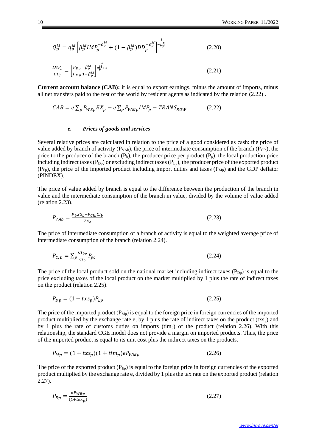$$
Q_p^M = q_p^M \left[ \beta_p^M I M P_p^{-\rho_p^M} + (1 - \beta_p^M) D D_p^{-\rho_p^M} \right]_{-\rho_p^M}_{-\rho_p^M}
$$
(2.20)

$$
\frac{IMP_p}{DD_p} = \left[\frac{P_{Dp}}{P_{Mp}} \frac{\beta_p^M}{1 - \beta_p^M}\right]^{\frac{1}{\rho_p^M + 1}}
$$
\n(2.21)

**Current account balance (CAB):** it is equal to export earnings, minus the amount of imports, minus all net transfers paid to the rest of the world by resident agents as indicated by the relation (2.22) .

$$
CAB = e \sum_{p} P_{WEp} E X_{p} - e \sum_{p} P_{WMp} I MP_{p} - TRANS_{ROW}
$$
 (2.22)

#### *e. Prices of goods and services*

<span id="page-9-0"></span>Several relative prices are calculated in relation to the price of a good considered as cash: the price of value added by branch of activity ( $P_{VAb}$ ), the price of intermediate consumption of the branch ( $P_{\text{Cb}}$ ), the price to the producer of the branch  $(P_b)$ , the producer price per product  $(P_p)$ , the local production price including indirect taxes  $(P_{Dp})$  or excluding indirect taxes  $(P_{Lp})$ , the producer price of the exported product  $(P_{Ep})$ , the price of the imported product including import duties and taxes  $(P_{Mp})$  and the GDP deflator (PINDEX).

The price of value added by branch is equal to the difference between the production of the branch in value and the intermediate consumption of the branch in value, divided by the volume of value added (relation 2.23).

$$
P_{VAb} = \frac{P_b X S_b - P_{C1b} C I_b}{V A_b} \tag{2.23}
$$

The price of intermediate consumption of a branch of activity is equal to the weighted average price of intermediate consumption of the branch (relation 2.24).

$$
P_{CID} = \sum_{p} \frac{Cl_{bp}}{Cl_b} P_{pc} \tag{2.24}
$$

The price of the local product sold on the national market including indirect taxes  $(P_{Dp})$  is equal to the price excluding taxes of the local product on the market multiplied by 1 plus the rate of indirect taxes on the product (relation 2.25).

$$
P_{Dp} = (1 + txs_p)P_{Lp} \tag{2.25}
$$

The price of the imported product  $(P_{Mp})$  is equal to the foreign price in foreign currencies of the imported product multiplied by the exchange rate e, by 1 plus the rate of indirect taxes on the product  $(txs_p)$  and by 1 plus the rate of customs duties on imports (timp) of the product (relation 2.26). With this relationship, the standard CGE model does not provide a margin on imported products. Thus, the price of the imported product is equal to its unit cost plus the indirect taxes on the products.

$$
P_{Mp} = (1 + txs_p)(1 + tim_p)eP_{WMp}
$$
\n(2.26)

The price of the exported product  $(P_{Ep})$  is equal to the foreign price in foreign currencies of the exported product multiplied by the exchange rate e, divided by 1 plus the tax rate on the exported product (relation 2.27).

$$
P_{Ep} = \frac{e^{PWEp}}{(1 + t\epsilon x_p)}
$$
\n<sup>(2.27)</sup>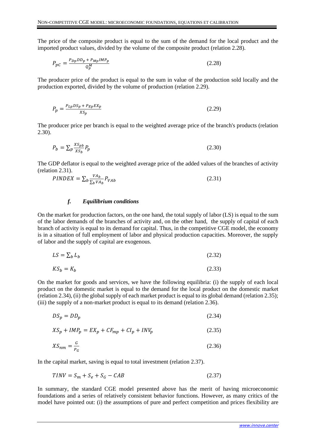The price of the composite product is equal to the sum of the demand for the local product and the imported product values, divided by the volume of the composite product (relation 2.28).

$$
P_{pC} = \frac{P_{Dp} D_{p} + P_{Mp} I M P_{p}}{Q_{p}^{M}}
$$
\n
$$
(2.28)
$$

The producer price of the product is equal to the sum in value of the production sold locally and the production exported, divided by the volume of production (relation 2.29).

$$
P_p = \frac{P_{Lp}DS_p + P_{Ep}EX_p}{XS_p} \tag{2.29}
$$

The producer price per branch is equal to the weighted average price of the branch's products (relation 2.30).

$$
P_b = \sum_{p} \frac{X S_{p b}}{X S_b} P_p \tag{2.30}
$$

The GDP deflator is equal to the weighted average price of the added values of the branches of activity (relation 2.31).

$$
PINDER = \sum_{b} \frac{VA_b}{\sum_{b} VA_b} P_{VAb}
$$
 (2.31)

#### *f. Equilibrium conditions*

<span id="page-10-0"></span>On the market for production factors, on the one hand, the total supply of labor (LS) is equal to the sum of the labor demands of the branches of activity and, on the other hand, the supply of capital of each branch of activity is equal to its demand for capital. Thus, in the competitive CGE model, the economy is in a situation of full employment of labor and physical production capacities. Moreover, the supply of labor and the supply of capital are exogenous.

$$
LS = \sum_{b} L_b \tag{2.32}
$$

$$
KS_b = K_b \tag{2.33}
$$

On the market for goods and services, we have the following equilibria: (i) the supply of each local product on the domestic market is equal to the demand for the local product on the domestic market (relation 2.34), (ii) the global supply of each market product is equal to its global demand (relation 2.35); (iii) the supply of a non-market product is equal to its demand (relation 2.36).

$$
DS_p = DD_p \tag{2.34}
$$

$$
XS_p + IMP_p = EX_p + CF_{mp} + CI_p + INV_p \tag{2.35}
$$

$$
X S_{nm} = \frac{G}{P_G} \tag{2.36}
$$

In the capital market, saving is equal to total investment (relation 2.37).

$$
TINV = S_m + S_e + S_G - CAB \tag{2.37}
$$

In summary, the standard CGE model presented above has the merit of having microeconomic foundations and a series of relatively consistent behavior functions. However, as many critics of the model have pointed out: (i) the assumptions of pure and perfect competition and prices flexibility are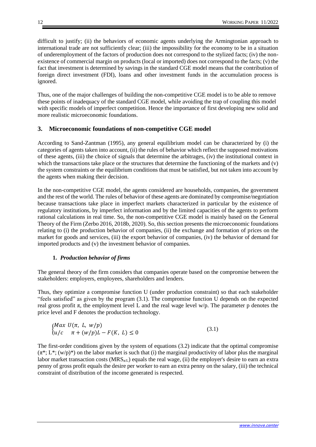difficult to justify; (ii) the behaviors of economic agents underlying the Armingtonian approach to international trade are not sufficiently clear; (iii) the impossibility for the economy to be in a situation of underemployment of the factors of production does not correspond to the stylized facts; (iv) the nonexistence of commercial margin on products (local or imported) does not correspond to the facts; (v) the fact that investment is determined by savings in the standard CGE model means that the contribution of foreign direct investment (FDI), loans and other investment funds in the accumulation process is ignored.

Thus, one of the major challenges of building the non-competitive CGE model is to be able to remove these points of inadequacy of the standard CGE model, while avoiding the trap of coupling this model with specific models of imperfect competition. Hence the importance of first developing new solid and more realistic microeconomic foundations.

## <span id="page-11-0"></span>**3. Microeconomic foundations of non-competitive CGE model**

According to Sand-Zantman (1995), any general equilibrium model can be characterized by (i) the categories of agents taken into account, (ii) the rules of behavior which reflect the supposed motivations of these agents, (iii) the choice of signals that determine the arbitrages, (iv) the institutional context in which the transactions take place or the structures that determine the functioning of the markets and (v) the system constraints or the equilibrium conditions that must be satisfied, but not taken into account by the agents when making their decision.

In the non-competitive CGE model, the agents considered are households, companies, the government and the rest of the world. The rules of behavior of these agents are dominated by compromise/negotiation because transactions take place in imperfect markets characterized in particular by the existence of regulatory institutions, by imperfect information and by the limited capacities of the agents to perform rational calculations in real time. So, the non-competitive CGE model is mainly based on the General Theory of the Firm (Zerbo 2016, 2018b, 2020). So, this section presents the microeconomic foundations relating to (i) the production behavior of companies, (ii) the exchange and formation of prices on the market for goods and services, (iii) the export behavior of companies, (iv) the behavior of demand for imported products and (v) the investment behavior of companies.

## **1.** *Production behavior of firms*

<span id="page-11-1"></span>The general theory of the firm considers that companies operate based on the compromise between the stakeholders: employers, employees, shareholders and lenders.

Thus, they optimize a compromise function U (under production constraint) so that each stakeholder "feels satisfied" as given by the program (3.1). The compromise function U depends on the expected real gross profit π, the employment level L and the real wage level w/p. The parameter p denotes the price level and F denotes the production technology.

$$
\begin{cases}\n\text{Max } U(\pi, L, w/p) \\
u/c & \pi + (w/p)L - F(K, L) \le 0\n\end{cases} \tag{3.1}
$$

The first-order conditions given by the system of equations (3.2) indicate that the optimal compromise  $(\pi^*: L^*: (w/p)^*)$  on the labor market is such that (i) the marginal productivity of labor plus the marginal labor market transaction costs ( $MRS_{nL}$ ) equals the real wage, (ii) the employer's desire to earn an extra penny of gross profit equals the desire per worker to earn an extra penny on the salary, (iii) the technical constraint of distribution of the income generated is respected.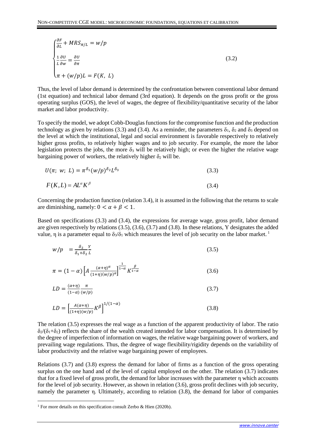$$
\begin{cases}\n\frac{\partial F}{\partial L} + MRS_{\pi/L} = w/p \\
\frac{1}{L} \frac{\partial U}{\partial w} = \frac{\partial U}{\partial \pi} \\
\pi + (w/p)L = F(K, L)\n\end{cases}
$$
\n(3.2)

Thus, the level of labor demand is determined by the confrontation between conventional labor demand (1st equation) and technical labor demand (3rd equation). It depends on the gross profit or the gross operating surplus (GOS), the level of wages, the degree of flexibility/quantitative security of the labor market and labor productivity.

To specify the model, we adopt Cobb-Douglas functions for the compromise function and the production technology as given by relations (3.3) and (3.4). As a reminder, the parameters  $\delta_1$ ,  $\delta_2$  and  $\delta_3$  depend on the level at which the institutional, legal and social environment is favorable respectively to relatively higher gross profits, to relatively higher wages and to job security. For example, the more the labor legislation protects the jobs, the more  $\delta_3$  will be relatively high; or even the higher the relative wage bargaining power of workers, the relatively higher  $\delta_2$  will be.

$$
U(\pi; w; L) = \pi^{\delta_1}(w/p)^{\delta_2}L^{\delta_3}
$$
\n(3.3)

$$
F(K,L) = AL^{\alpha} K^{\beta} \tag{3.4}
$$

Concerning the production function (relation 3.4), it is assumed in the following that the returns to scale are diminishing, namely:  $0 < \alpha + \beta < 1$ .

Based on specifications (3.3) and (3.4), the expressions for average wage, gross profit, labor demand are given respectively by relations (3.5), (3.6), (3.7) and (3.8). In these relations, Y designates the added value, η is a parameter equal to  $\delta_3/\delta_1$  which measures the level of job security on the labor market.<sup>1</sup>

$$
w/p = \frac{\delta_2}{\delta_1 + \delta_2} \frac{Y}{L} \tag{3.5}
$$

$$
\pi = (1 - \alpha) \left[ A \frac{(\alpha + \eta)^{\alpha}}{(1 + \eta)(w/p)^{\alpha}} \right]^{\frac{1}{1 - \alpha}} K^{\frac{\beta}{1 - \alpha}}
$$
\n(3.6)

$$
LD = \frac{(\alpha + \eta)}{(1 - \alpha)} \frac{\pi}{(w/p)}\tag{3.7}
$$

$$
LD = \left[\frac{A(\alpha + \eta)}{(1 + \eta)(w/p)} K^{\beta}\right]^{1/(1 - \alpha)}
$$
\n(3.8)

The relation (3.5) expresses the real wage as a function of the apparent productivity of labor. The ratio  $\delta_2/(\delta_1+\delta_2)$  reflects the share of the wealth created intended for labor compensation. It is determined by the degree of imperfection of information on wages, the relative wage bargaining power of workers, and prevailing wage regulations. Thus, the degree of wage flexibility/rigidity depends on the variability of labor productivity and the relative wage bargaining power of employees.

Relations (3.7) and (3.8) express the demand for labor of firms as a function of the gross operating surplus on the one hand and of the level of capital employed on the other. The relation (3.7) indicates that for a fixed level of gross profit, the demand for labor increases with the parameter η which accounts for the level of job security. However, as shown in relation (3.6), gross profit declines with job security, namely the parameter η. Ultimately, according to relation (3.8), the demand for labor of companies

<sup>&</sup>lt;sup>1</sup> For more details on this specification consult Zerbo & Hien (2020b).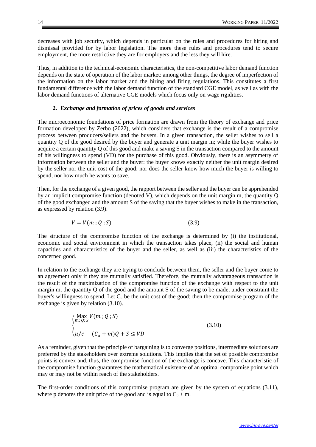decreases with job security, which depends in particular on the rules and procedures for hiring and dismissal provided for by labor legislation. The more these rules and procedures tend to secure employment, the more restrictive they are for employers and the less they will hire.

Thus, in addition to the technical-economic characteristics, the non-competitive labor demand function depends on the state of operation of the labor market: among other things, the degree of imperfection of the information on the labor market and the hiring and firing regulations. This constitutes a first fundamental difference with the labor demand function of the standard CGE model, as well as with the labor demand functions of alternative CGE models which focus only on wage rigidities.

## **2.** *Exchange and formation of prices of goods and services*

<span id="page-13-0"></span>The microeconomic foundations of price formation are drawn from the theory of exchange and price formation developed by Zerbo (2022), which considers that exchange is the result of a compromise process between producers/sellers and the buyers. In a given transaction, the seller wishes to sell a quantity Q of the good desired by the buyer and generate a unit margin m; while the buyer wishes to acquire a certain quantity Q of this good and make a saving S in the transaction compared to the amount of his willingness to spend (VD) for the purchase of this good. Obviously, there is an asymmetry of information between the seller and the buyer: the buyer knows exactly neither the unit margin desired by the seller nor the unit cost of the good; nor does the seller know how much the buyer is willing to spend, nor how much he wants to save.

Then, for the exchange of a given good, the rapport between the seller and the buyer can be apprehended by an implicit compromise function (denoted V), which depends on the unit margin m, the quantity Q of the good exchanged and the amount S of the saving that the buyer wishes to make in the transaction, as expressed by relation (3.9).

$$
V = V(m; Q; S) \tag{3.9}
$$

The structure of the compromise function of the exchange is determined by (i) the institutional, economic and social environment in which the transaction takes place, (ii) the social and human capacities and characteristics of the buyer and the seller, as well as (iii) the characteristics of the concerned good.

In relation to the exchange they are trying to conclude between them, the seller and the buyer come to an agreement only if they are mutually satisfied. Therefore, the mutually advantageous transaction is the result of the maximization of the compromise function of the exchange with respect to the unit margin m, the quantity Q of the good and the amount S of the saving to be made, under constraint the buyer's willingness to spend. Let  $C_u$  be the unit cost of the good; then the compromise program of the exchange is given by relation (3.10).

$$
\begin{cases}\n\max_{m; Q; S} V(m; Q; S) \\
u/c & (C_u + m)Q + S \leq VD\n\end{cases}
$$
\n(3.10)

As a reminder, given that the principle of bargaining is to converge positions, intermediate solutions are preferred by the stakeholders over extreme solutions. This implies that the set of possible compromise points is convex and, thus, the compromise function of the exchange is concave. This characteristic of the compromise function guarantees the mathematical existence of an optimal compromise point which may or may not be within reach of the stakeholders.

The first-order conditions of this compromise program are given by the system of equations (3.11), where p denotes the unit price of the good and is equal to  $C_u$  + m.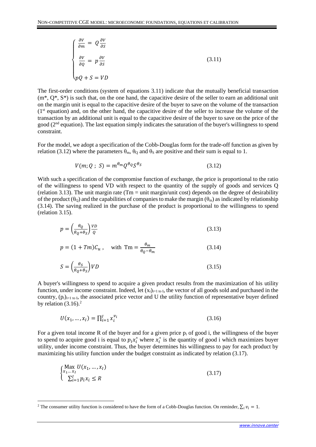$$
\begin{cases}\n\frac{\partial V}{\partial m} = Q \frac{\partial V}{\partial s} \\
\frac{\partial V}{\partial Q} = p \frac{\partial V}{\partial s} \\
pQ + S = VD\n\end{cases}
$$
\n(3.11)

The first-order conditions (system of equations 3.11) indicate that the mutually beneficial transaction  $(m^*, Q^*, S^*)$  is such that, on the one hand, the capacitive desire of the seller to earn an additional unit on the margin unit is equal to the capacitive desire of the buyer to save on the volume of the transaction  $(1<sup>st</sup>$  equation) and, on the other hand, the capacitive desire of the seller to increase the volume of the transaction by an additional unit is equal to the capacitive desire of the buyer to save on the price of the good ( $2<sup>nd</sup>$  equation). The last equation simply indicates the saturation of the buyer's willingness to spend constraint.

For the model, we adopt a specification of the Cobb-Douglas form for the trade-off function as given by relation (3.12) where the parameters  $\theta_m$ ,  $\theta_Q$  and  $\theta_S$  are positive and their sum is equal to 1.

$$
V(m; Q; S) = m^{\theta_m} Q^{\theta_Q} S^{\theta_S}
$$
 (3.12)

With such a specification of the compromise function of exchange, the price is proportional to the ratio of the willingness to spend VD with respect to the quantity of the supply of goods and services Q (relation 3.13). The unit margin rate (Tm = unit margin/unit cost) depends on the degree of desirability of the product  $(\theta_0)$  and the capabilities of companies to make the margin  $(\theta_m)$  as indicated by relationship (3.14). The saving realized in the purchase of the product is proportional to the willingness to spend (relation 3.15).

$$
p = \left(\frac{\theta_Q}{\theta_Q + \theta_S}\right) \frac{VD}{Q} \tag{3.13}
$$

$$
p = (1 + Tm)C_u, \quad \text{with } \text{Tm} = \frac{\theta_m}{\theta_Q - \theta_m} \tag{3.14}
$$

$$
S = \left(\frac{\theta_S}{\theta_Q + \theta_S}\right) V D \tag{3.15}
$$

A buyer's willingness to spend to acquire a given product results from the maximization of his utility function, under income constraint. Indeed, let  $(x_i)_{i=1 \text{ to } I}$ , the vector of all goods sold and purchased in the country,  $(p_i)_{i=1 \text{ to } I}$ , the associated price vector and U the utility function of representative buyer defined by relation  $(3.16).<sup>2</sup>$ 

$$
U(x_1, ..., x_l) = \prod_{i=1}^{l} x_i^{v_i}
$$
\n(3.16)

For a given total income R of the buyer and for a given price  $p_i$  of good i, the willingness of the buyer to spend to acquire good i is equal to  $p_i x_i^*$  where  $x_i^*$  is the quantity of good i which maximizes buyer utility, under income constraint. Thus, the buyer determines his willingness to pay for each product by maximizing his utility function under the budget constraint as indicated by relation (3.17).

$$
\begin{cases}\n\max_{x_1...x_l} U(x_1,...,x_l) \\
\sum_{i=1}^l p_i x_i \le R\n\end{cases}
$$
\n(3.17)

<sup>&</sup>lt;sup>2</sup> The consumer utility function is considered to have the form of a Cobb-Douglas function. On reminder,  $\sum_i v_i = 1$ .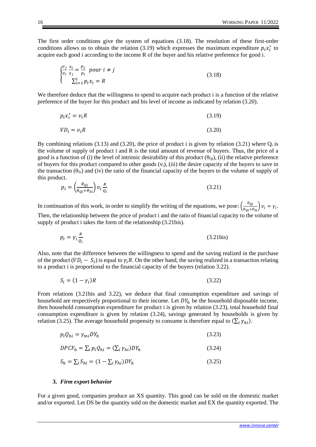The first order conditions give the system of equations (3.18). The resolution of these first-order conditions allows us to obtain the relation (3.19) which expresses the maximum expenditure  $p_i x_i^*$  to acquire each good i according to the income R of the buyer and his relative preference for good i.

$$
\begin{cases}\n\frac{v_j}{v_i} \frac{x_i}{x_j} = \frac{p_j}{p_i} \quad \text{pour } i \neq j \\
\sum_{i=1}^I p_i x_i = R\n\end{cases} \tag{3.18}
$$

We therefore deduce that the willingness to spend to acquire each product i is a function of the relative preference of the buyer for this product and his level of income as indicated by relation (3.20).

$$
p_i x_i^* = v_i R \tag{3.19}
$$

$$
VD_i = v_i R \tag{3.20}
$$

By combining relations (3.13) and (3.20), the price of product i is given by relation (3.21) where  $O_i$  is the volume of supply of product i and R is the total amount of revenue of buyers. Thus, the price of a good is a function of (i) the level of intrinsic desirability of this product  $(\theta_{0i})$ , (ii) the relative preference of buyers for this product compared to other goods (vi), (iii) the desire capacity of the buyers to save in the transaction  $(\theta_{si})$  and (iv) the ratio of the financial capacity of the buyers to the volume of supply of this product.

$$
p_i = \left(\frac{\theta_{Qi}}{\theta_{Qi} + \theta_{Si}}\right) v_i \frac{R}{Q_i}
$$
\n(3.21)

In continuation of this work, in order to simplify the writing of the equations, we pose:  $\left(\frac{\theta_{Qi}}{\theta_{Qi}+\theta_{Sl}}\right)v_i = \gamma_i$ . Then, the relationship between the price of product i and the ratio of financial capacity to the volume of supply of product i takes the form of the relationship (3.21bis).

$$
p_i = \gamma_i \frac{R}{Q_i} \tag{3.21bis}
$$

Also, note that the difference between the willingness to spend and the saving realized in the purchase of the product  $(VD_i - S_i)$  is equal to  $\gamma_i R$ . On the other hand, the saving realized in a transaction relating to a product i is proportional to the financial capacity of the buyers (relation 3.22).

$$
S_i = (1 - \gamma_i)R\tag{3.22}
$$

From relations (3.21bis and 3.22), we deduce that final consumption expenditure and savings of household are respectively proportional to their income. Let  $DY<sub>h</sub>$  be the household disposable income, then household consumption expenditure for product i is given by relation (3.23), total household final consumption expenditure is given by relation (3.24), savings generated by households is given by relation (3.25). The average household propensity to consume is therefore equal to  $(\sum_i \gamma_{hi})$ .

$$
p_i Q_{hi} = \gamma_{mi} DY_h \tag{3.23}
$$

$$
DPCF_h = \sum_i p_i Q_{hi} = (\sum_i \gamma_{hi}) DY_h
$$
\n(3.24)

$$
S_h = \sum_i S_{hi} = (1 - \sum_i \gamma_{hi}) DY_h
$$
\n(3.25)

#### **3.** *Firm export behavior*

<span id="page-15-0"></span>For a given good, companies produce an XS quantity. This good can be sold on the domestic market and/or exported. Let DS be the quantity sold on the domestic market and EX the quantity exported. The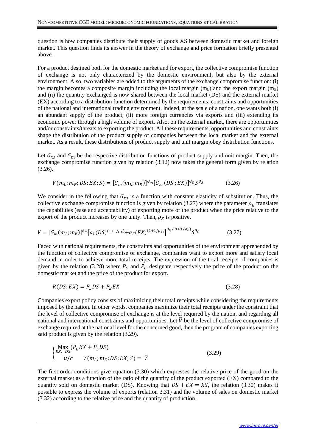question is how companies distribute their supply of goods XS between domestic market and foreign market. This question finds its answer in the theory of exchange and price formation briefly presented above.

For a product destined both for the domestic market and for export, the collective compromise function of exchange is not only characterized by the domestic environment, but also by the external environment. Also, two variables are added to the arguments of the exchange compromise function: (i) the margin becomes a composite margin including the local margin  $(m<sub>L</sub>)$  and the export margin  $(m<sub>E</sub>)$ and (ii) the quantity exchanged is now shared between the local market (DS) and the external market (EX) according to a distribution function determined by the requirements, constraints and opportunities of the national and international trading environment. Indeed, at the scale of a nation, one wants both (i) an abundant supply of the product, (ii) more foreign currencies via exports and (iii) extending its economic power through a high volume of export. Also, on the external market, there are opportunities and/or constraints/threats to exporting the product. All these requirements, opportunities and constraints shape the distribution of the product supply of companies between the local market and the external market. As a result, these distributions of product supply and unit margin obey distribution functions.

Let  $G_{\text{xs}}$  and  $G_m$  be the respective distribution functions of product supply and unit margin. Then, the exchange compromise function given by relation (3.12) now takes the general form given by relation (3.26).

$$
V(m_L; m_E; DS; EX; S) = [G_m(m_L; m_E)]^{\theta_m} [G_{XS}(DS; EX)]^{\theta_Q} S^{\theta_S}
$$
(3.26)

We consider in the following that  $G_{\chi s}$  is a function with constant elasticity of substitution. Thus, the collective exchange compromise function is given by relation (3.27) where the parameter  $\rho_E$  translates the capabilities (ease and acceptability) of exporting more of the product when the price relative to the export of the product increases by one unity. Then,  $\rho_E$  is positive.

$$
V = [G_m(m_L; m_E)]^{\theta_m} [a_L(DS)^{(1+1/\rho_E)} + a_E(EX)^{(1+1/\rho_E)}]^{ \theta_Q/(1+1/\rho_E)} S^{\theta_S}
$$
(3.27)

Faced with national requirements, the constraints and opportunities of the environment apprehended by the function of collective compromise of exchange, companies want to export more and satisfy local demand in order to achieve more total receipts. The expression of the total receipts of companies is given by the relation (3.28) where  $P_L$  and  $P_E$  designate respectively the price of the product on the domestic market and the price of the product for export.

$$
R(DS; EX) = P_L DS + P_E EX \tag{3.28}
$$

Companies export policy consists of maximizing their total receipts while considering the requirements imposed by the nation. In other words, companies maximize their total receipts under the constraint that the level of collective compromise of exchange is at the level required by the nation, and regarding all national and international constraints and opportunities. Let  $\bar{V}$  be the level of collective compromise of exchange required at the national level for the concerned good, then the program of companies exporting said product is given by the relation (3.29).

$$
\begin{cases}\n\max_{EX, DS} (P_E EX + P_L DS) \\
u/c \\
V(m_L; m_E; DS; EX; S) = \overline{V}\n\end{cases}
$$
\n(3.29)

The first-order conditions give equation (3.30) which expresses the relative price of the good on the external market as a function of the ratio of the quantity of the product exported (EX) compared to the quantity sold on domestic market (DS). Knowing that  $DS + EX = XS$ , the relation (3.30) makes it possible to express the volume of exports (relation 3.31) and the volume of sales on domestic market (3.32) according to the relative price and the quantity of production.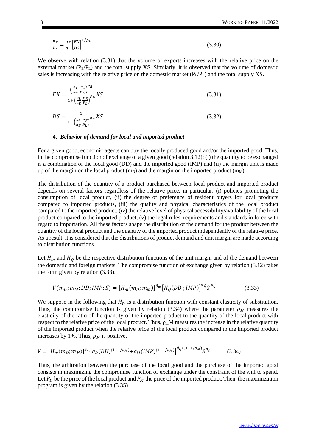$$
\frac{P_E}{P_L} = \frac{a_E}{a_L} \left[ \frac{EX}{DS} \right]^{1/\rho_E} \tag{3.30}
$$

We observe with relation  $(3.31)$  that the volume of exports increases with the relative price on the external market  $(P_E/P_L)$  and the total supply XS. Similarly, it is observed that the volume of domestic sales is increasing with the relative price on the domestic market  $(P_L/P_E)$  and the total supply XS.

$$
EX = \frac{\left(\frac{a_L}{a_E} \frac{P_E}{P_L}\right)^{\rho_E}}{1 + \left(\frac{a_L}{a_E} \frac{P_E}{P_L}\right)^{\rho_E}} XS
$$
\n(3.31)

$$
DS = \frac{1}{1 + \left(\frac{a_L}{a_E} \frac{P_E}{P_L}\right)^{\rho_E}} XS
$$
\n
$$
(3.32)
$$

#### **4.** *Behavior of demand for local and imported product*

<span id="page-17-0"></span>For a given good, economic agents can buy the locally produced good and/or the imported good. Thus, in the compromise function of exchange of a given good (relation 3.12): (i) the quantity to be exchanged is a combination of the local good (DD) and the imported good (IMP) and (ii) the margin unit is made up of the margin on the local product  $(m_D)$  and the margin on the imported product  $(m_M)$ .

The distribution of the quantity of a product purchased between local product and imported product depends on several factors regardless of the relative price, in particular: (i) policies promoting the consumption of local product, (ii) the degree of preference of resident buyers for local products compared to imported products, (iii) the quality and physical characteristics of the local product compared to the imported product, (iv) the relative level of physical accessibility/availability of the local product compared to the imported product, (v) the legal rules, requirements and standards in force with regard to importation. All these factors shape the distribution of the demand for the product between the quantity of the local product and the quantity of the imported product independently of the relative price. As a result, it is considered that the distributions of product demand and unit margin are made according to distribution functions.

Let  $H_m$  and  $H_0$  be the respective distribution functions of the unit margin and of the demand between the domestic and foreign markets. The compromise function of exchange given by relation (3.12) takes the form given by relation (3.33).

$$
V(m_D; m_M; DD; IMP; S) = [H_m(m_D; m_M)]^{\theta_m} [H_Q(DD;IMP)]^{\theta_Q} S^{\theta_S}
$$
\n(3.33)

We suppose in the following that  $H<sub>D</sub>$  is a distribution function with constant elasticity of substitution. Thus, the compromise function is given by relation (3.34) where the parameter  $\rho_M$  measures the elasticity of the ratio of the quantity of the imported product to the quantity of the local product with respect to the relative price of the local product. Thus,  $\rho_M$  measures the increase in the relative quantity of the imported product when the relative price of the local product compared to the imported product increases by 1%. Thus,  $\rho_M$  is positive.

$$
V = [H_m(m_D; m_M)]^{\theta_m} [a_D(DD)^{(1-1/\rho_M)} + a_M(IMP)^{(1-1/\rho_M)}]^{\theta_Q/(1-1/\rho_M)} S^{\theta_S}
$$
(3.34)

Thus, the arbitration between the purchase of the local good and the purchase of the imported good consists in maximizing the compromise function of exchange under the constraint of the will to spend. Let  $P_D$  be the price of the local product and  $P_M$  the price of the imported product. Then, the maximization program is given by the relation (3.35).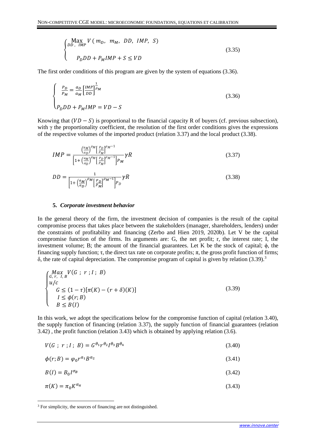$$
\begin{cases}\n\max_{DD, \text{IMP}} V (m_D, m_M, \text{ DD}, \text{IMP}, S) \\
P_D D D + P_M \text{IMP} + S \leq V D\n\end{cases}
$$
\n(3.35)

The first order conditions of this program are given by the system of equations (3.36).

$$
\begin{cases}\n\frac{P_D}{P_M} = \frac{a_D}{a_M} \left[ \frac{IMP}{DD} \right]^{\frac{1}{p}} M \\
P_D DD + P_M IMP = VD - S\n\end{cases}
$$
\n(3.36)

Knowing that  $(VD - S)$  is proportional to the financial capacity R of buyers (cf. previous subsection), with  $\gamma$  the proportionality coefficient, the resolution of the first order conditions gives the expressions of the respective volumes of the imported product (relation 3.37) and the local product (3.38).

$$
IMP = \frac{\left(\frac{a_M}{a_D}\right)^{\rho_M} \left[\frac{P_D}{P_M}\right]^{\rho_M - 1}}{\left[1 + \left(\frac{a_M}{a_D}\right)^{\rho_M} \left[\frac{P_D}{P_M}\right]^{\rho_M - 1}\right] P_M} \gamma R \tag{3.37}
$$

$$
DD = \frac{1}{\left[1 + \left(\frac{a_M}{a_D}\right)^{\rho} M \left[\frac{P_D}{P_M}\right]^{\rho} M^{-1}\right] P_D} \gamma R \tag{3.38}
$$

#### **5.** *Corporate investment behavior*

<span id="page-18-0"></span>In the general theory of the firm, the investment decision of companies is the result of the capital compromise process that takes place between the stakeholders (manager, shareholders, lenders) under the constraints of profitability and financing (Zerbo and Hien 2019, 2020b). Let V be the capital compromise function of the firms. Its arguments are: G, the net profit; r, the interest rate; I, the investment volume; B; the amount of the financial guarantees. Let K be the stock of capital;  $\phi$ , the financing supply function; τ, the direct tax rate on corporate profits; π, the gross profit function of firms; δ, the rate of capital depreciation. The compromise program of capital is given by relation  $(3.39)$ .<sup>3</sup>

$$
\begin{cases}\n\int_{G,\,r,\,\,l,\,B}^{R} V(G;\,r;\,l\,;\,B) \\
u/c \\
G \leq (1-\tau)[\pi(K)-(r+\delta)(K)] \\
I \leq \phi(r;B) \\
B \leq B(I)\n\end{cases}
$$
\n(3.39)

In this work, we adopt the specifications below for the compromise function of capital (relation 3.40), the supply function of financing (relation 3.37), the supply function of financial guarantees (relation 3.42) , the profit function (relation 3.43) which is obtained by applying relation (3.6).

$$
V(G; r; I; B) = G^{\theta_1} r^{\theta_2} I^{\theta_3} B^{\theta_4}
$$
\n
$$
(3.40)
$$

$$
\phi(r;B) = \varphi_0 r^{a_1} B^{a_2} \tag{3.41}
$$

$$
B(I) = B_0 I^{\sigma_B} \tag{3.42}
$$

$$
\pi(K) = \pi_0 K^{\alpha_{\pi}} \tag{3.43}
$$

<sup>&</sup>lt;sup>3</sup> For simplicity, the sources of financing are not distinguished.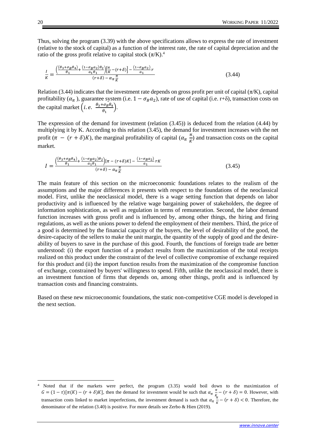Thus, solving the program (3.39) with the above specifications allows to express the rate of investment (relative to the stock of capital) as a function of the interest rate, the rate of capital depreciation and the ratio of the gross profit relative to capital stock  $(\pi/K)^4$ .

$$
\frac{I}{K} = \frac{\left(\frac{(\theta_3 + \sigma_B \theta_4)}{\theta_1} + \frac{(1 - \sigma_B a_2)\theta_2}{a_1 \theta_1}\right)\left[\frac{\pi}{K} - (r + \delta)\right] - \frac{(1 - \sigma_B a_2)}{a_1}r}{(r + \delta) - \alpha_{\pi} \frac{\pi}{K}}
$$
(3.44)

Relation (3.44) indicates that the investment rate depends on gross profit per unit of capital ( $\pi$ /K), capital profitability ( $\alpha_{\pi}$ ), guarantee system (i.e.  $1 - \sigma_B a_2$ ), rate of use of capital (i.e. r+ $\delta$ ), transaction costs on the capital market  $(i.e. \frac{\theta_3 + \sigma_B \theta_4}{\sigma_A})$  $\frac{\sigma_B \sigma_4}{\theta_1}$ .

The expression of the demand for investment (relation (3.45)) is deduced from the relation (4.44) by multiplying it by K. According to this relation (3.45), the demand for investment increases with the net profit  $(\pi - (r + \delta)K)$ , the marginal profitability of capital  $(\alpha_{\pi} \frac{\pi}{\kappa})$  $\frac{\pi}{K}$ ) and transaction costs on the capital market.

$$
I = \frac{\left(\frac{(\theta_3 + \sigma_B \theta_4)}{\theta_1} + \frac{(1 - \sigma_B a_2)\theta_2}{a_1 \theta_1}\right)[\pi - (r + \delta)K] - \frac{(1 - \sigma_B a_2)}{a_1}rK}{(r + \delta) - \alpha_\pi \frac{\pi}{K}}
$$
(3.45)

The main feature of this section on the microeconomic foundations relates to the realism of the assumptions and the major differences it presents with respect to the foundations of the neoclassical model. First, unlike the neoclassical model, there is a wage setting function that depends on labor productivity and is influenced by the relative wage bargaining power of stakeholders, the degree of information sophistication, as well as regulation in terms of remuneration. Second, the labor demand function increases with gross profit and is influenced by, among other things, the hiring and firing regulations, as well as the unions power to defend the employment of their members. Third, the price of a good is determined by the financial capacity of the buyers, the level of desirability of the good, the desire-capacity of the sellers to make the unit margin, the quantity of the supply of good and the desireability of buyers to save in the purchase of this good. Fourth, the functions of foreign trade are better understood: (i) the export function of a product results from the maximization of the total receipts realized on this product under the constraint of the level of collective compromise of exchange required for this product and (ii) the import function results from the maximization of the compromise function of exchange, constrained by buyers' willingness to spend. Fifth, unlike the neoclassical model, there is an investment function of firms that depends on, among other things, profit and is influenced by transaction costs and financing constraints.

Based on these new microeconomic foundations, the static non-competitive CGE model is developed in the next section.

Noted that if the markets were perfect, the program (3.35) would boil down to the maximization of  $G = (1 - \tau)[\pi(K) - (r + \delta)K]$ , then the demand for investment would be such that  $\alpha_{\pi} \frac{\pi}{\nu}$  $\frac{n}{K} - (r + \delta) = 0$ . However, with transaction costs linked to market imperfections, the investment demand is such that  $\alpha_{\pi} \frac{\dot{\pi}}{k}$  $\frac{\pi}{K}$  –  $(r + \delta)$  < 0. Therefore, the denominator of the relation (3.40) is positive. For more details see Zerbo & Hien (2019).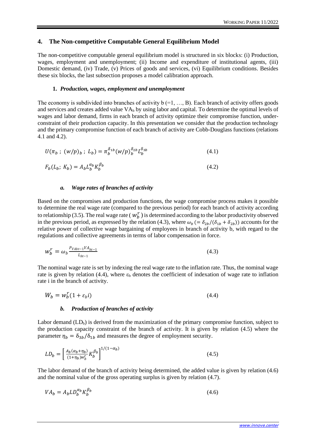## <span id="page-20-0"></span>**4. The Non-competitive Computable General Equilibrium Model**

The non-competitive computable general equilibrium model is structured in six blocks: (i) Production, wages, employment and unemployment; (ii) Income and expenditure of institutional agents, (iii) Domestic demand, (iv) Trade, (v) Prices of goods and services, (vi) Equilibrium conditions. Besides these six blocks, the last subsection proposes a model calibration approach.

## **1.** *Production, wages, employment and unemployment*

<span id="page-20-1"></span>The economy is subdivided into branches of activity  $b$  (=1, ..., B). Each branch of activity offers goods and services and creates added value VA<sup>b</sup> by using labor and capital. To determine the optimal levels of wages and labor demand, firms in each branch of activity optimize their compromise function, underconstraint of their production capacity. In this presentation we consider that the production technology and the primary compromise function of each branch of activity are Cobb-Douglass functions (relations 4.1 and 4.2).

$$
U(\pi_b \; ; \; (w/p)_b \; ; \; L_b) = \pi_b^{\delta_{1b}} (w/p)_b^{\delta_{2b}} L_b^{\delta_{3b}} \tag{4.1}
$$

$$
F_b(L_b; K_b) = A_b L_b^{\alpha_b} K_b^{\beta_b} \tag{4.2}
$$

#### *a. Wage rates of branches of activity*

<span id="page-20-2"></span>Based on the compromises and production functions, the wage compromise process makes it possible to determine the real wage rate (compared to the previous period) for each branch of activity according to relationship (3.5). The real wage rate ( $w_b^r$ ) is determined according to the labor productivity observed in the previous period, as expressed by the relation (4.3), where  $\omega_b$  (=  $\delta_{2b}/(\delta_{1b} + \delta_{2b})$ ) accounts for the relative power of collective wage bargaining of employees in branch of activity b, with regard to the regulations and collective agreements in terms of labor compensation in force.

$$
w_b^r = \omega_b \frac{P_{VAbt-1} V A_{bt-1}}{L_{bt-1}}
$$
\n(4.3)

The nominal wage rate is set by indexing the real wage rate to the inflation rate. Thus, the nominal wage rate is given by relation (4.4), where  $\varepsilon_b$  denotes the coefficient of indexation of wage rate to inflation rate i in the branch of activity.

$$
W_b = w_b^r (1 + \varepsilon_b i) \tag{4.4}
$$

#### *b. Production of branches of activity*

<span id="page-20-3"></span>Labor demand  $(LD<sub>b</sub>)$  is derived from the maximization of the primary compromise function, subject to the production capacity constraint of the branch of activity. It is given by relation (4.5) where the parameter  $\eta_b = \delta_{3b}/\delta_{1b}$  and measures the degree of employment security.

$$
LD_b = \left[\frac{A_b(\alpha_b + \eta_b)}{(1 + \eta_b)w_b^r} K_b^{\beta_b}\right]^{1/(1 - \alpha_b)}
$$
\n(4.5)

The labor demand of the branch of activity being determined, the added value is given by relation (4.6) and the nominal value of the gross operating surplus is given by relation (4.7).

$$
VA_b = A_b L D_b^{\alpha_b} K_b^{\beta_b} \tag{4.6}
$$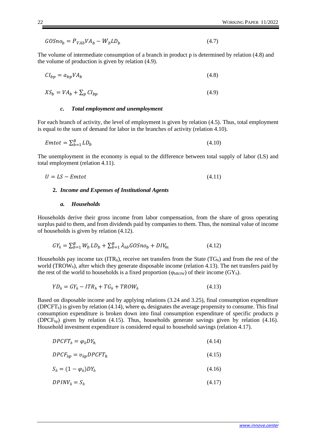$$
GOSno_b = P_{VAb}VA_b - W_bLD_b \tag{4.7}
$$

The volume of intermediate consumption of a branch in product p is determined by relation (4.8) and the volume of production is given by relation (4.9).

$$
CI_{bp} = a_{bp} V A_b \tag{4.8}
$$

$$
XS_b = VA_b + \sum_p CI_{bp} \tag{4.9}
$$

#### *c. Total employment and unemployment*

<span id="page-21-0"></span>For each branch of activity, the level of employment is given by relation (4.5). Thus, total employment is equal to the sum of demand for labor in the branches of activity (relation 4.10).

$$
Emtot = \sum_{b=1}^{B} LD_b \tag{4.10}
$$

The unemployment in the economy is equal to the difference between total supply of labor (LS) and total employment (relation 4.11).

<span id="page-21-1"></span>
$$
U = LS - Embt \tag{4.11}
$$

#### **2.** *Income and Expenses of Institutional Agents*

#### *a. Households*

<span id="page-21-2"></span>Households derive their gross income from labor compensation, from the share of gross operating surplus paid to them, and from dividends paid by companies to them. Thus, the nominal value of income of households is given by relation (4.12).

$$
GY_h = \sum_{b=1}^{B} W_b \, L D_b + \sum_{b=1}^{B} \lambda_{hb} GOSno_b + DIV_m \tag{4.12}
$$

Households pay income tax  $(ITR_h)$ , receive net transfers from the State  $(TG_h)$  and from the rest of the world (TROW<sub>h</sub>), after which they generate disposable income (relation 4.13). The net transfers paid by the rest of the world to households is a fixed proportion ( $\varphi_{hRow}$ ) of their income ( $GY_h$ ).

$$
YD_h = GY_h - ITR_h + TG_h + TROW_h \tag{4.13}
$$

Based on disposable income and by applying relations (3.24 and 3.25), final consumption expenditure  $(DPCFT<sub>h</sub>)$  is given by relation (4.14), where  $\varphi_h$  designates the average propensity to consume. This final consumption expenditure is broken down into final consumption expenditure of specific products p (DPCFhp) given by relation (4.15). Thus, households generate savings given by relation (4.16). Household investment expenditure is considered equal to household savings (relation 4.17).

| $DPCFT_h = \varphi_h DY_h$ | (4.14) |
|----------------------------|--------|
|----------------------------|--------|

 $DPCF_{hp} = v_{hp} DPCFT_h$  (4.15)

$$
S_h = (1 - \varphi_h) DY_h \tag{4.16}
$$

 $DPINV<sub>h</sub> = S<sub>h</sub>$ (4.17)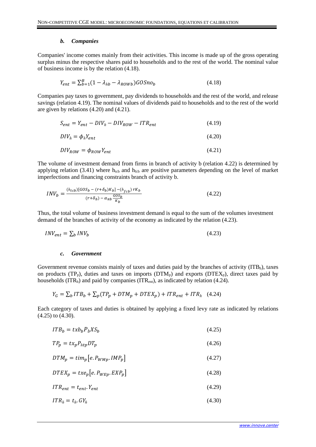#### *b. Companies*

<span id="page-22-0"></span>Companies' income comes mainly from their activities. This income is made up of the gross operating surplus minus the respective shares paid to households and to the rest of the world. The nominal value of business income is by the relation (4.18).

$$
Y_{ent} = \sum_{b=1}^{B} (1 - \lambda_{hb} - \lambda_{ROWb}) GOSno_b \tag{4.18}
$$

Companies pay taxes to government, pay dividends to households and the rest of the world, and release savings (relation 4.19). The nominal values of dividends paid to households and to the rest of the world are given by relations (4.20) and (4.21).

$$
S_{ent} = Y_{ent} - DIV_h - DIV_{ROW} - ITR_{ent}
$$
\n
$$
(4.19)
$$

$$
DIV_h = \phi_h Y_{ent} \tag{4.20}
$$

$$
DIV_{Row} = \phi_{Row} Y_{ent} \tag{4.21}
$$

The volume of investment demand from firms in branch of activity b (relation 4.22) is determined by applying relation (3.41) where  $h_{\text{tcb}}$  and  $h_{\text{fcb}}$  are positive parameters depending on the level of market imperfections and financing constraints branch of activity b.

$$
INV_b = \frac{(h_{tcb})[GOS_b - (r + \delta_b)K_b] - (h_{fcb})rK_b}{(r + \delta_b) - \alpha_{\pi b} \frac{GOS_b}{K_b}}
$$
(4.22)

Thus, the total volume of business investment demand is equal to the sum of the volumes investment demand of the branches of activity of the economy as indicated by the relation (4.23).

$$
INV_{ent} = \sum_{b} INV_{b} \tag{4.23}
$$

## *c. Government*

<span id="page-22-1"></span>Government revenue consists mainly of taxes and duties paid by the branches of activity  $(ITB<sub>b</sub>)$ , taxes on products  $(TP_p)$ , duties and taxes on imports  $(DTM_p)$  and exports  $(DTEX_p)$ , direct taxes paid by households (ITR<sub>h</sub>) and paid by companies (ITR<sub>ent</sub>), as indicated by relation (4.24).

$$
Y_G = \sum_b I T B_b + \sum_p (T P_p + D T M_p + D T E X_p) + I T R_{ent} + I T R_h \quad (4.24)
$$

Each category of taxes and duties is obtained by applying a fixed levy rate as indicated by relations (4.25) to (4.30).

$$
ITB_b = txb_b P_b X S_b \tag{4.25}
$$

$$
TP_p = tx_p P_{htp} DT_p \tag{4.26}
$$

$$
DTM_p = \lim_{p} \left[ e. P_{WMp}. IMP_p \right] \tag{4.27}
$$

 $DTEX_p = txe_p[e.P_{WEp}.EXP_p]$  (4.28)

$$
ITR_{ent} = t_{ent}.Y_{ent} \tag{4.29}
$$

$$
ITR_h = t_h . GY_h \tag{4.30}
$$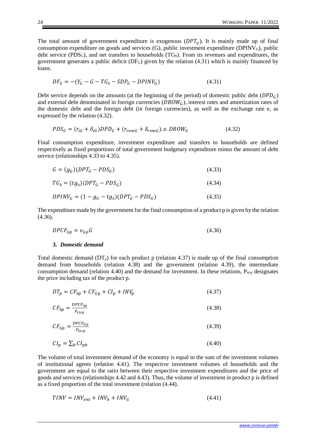The total amount of government expenditure is exogenous  $(DPT<sub>G</sub>)$ . It is mainly made up of final consumption expenditure on goods and services (G), public investment expenditure (DPINVG), public debt service (PDS<sub>G</sub>), and net transfers to households ( $TG<sub>h</sub>$ ). From its revenues and expenditures, the government generates a public deficit ( $DF<sub>G</sub>$ ) given by the relation (4.31) which is mainly financed by loans.

$$
DF_G = -(Y_G - G - TG_h - SDP_G - DPINV_G) \tag{4.31}
$$

Debt service depends on the amounts (at the beginning of the period) of domestic public debt  $(DPD<sub>G</sub>)$ and external debt denominated in foreign currencies  $(DROW<sub>C</sub>)$ , interest rates and amortization rates of the domestic debt and the foreign debt (in foreign currencies), as well as the exchange rate e, as expressed by the relation (4.32).

$$
PDS_G = (r_{iG} + \delta_{iG})DPD_G + (r_{rowG} + \delta_{rowG}).e.DROW_G
$$
\n
$$
(4.32)
$$

Final consumption expenditure, investment expenditure and transfers to households are defined respectively as fixed proportions of total government budgetary expenditure minus the amount of debt service (relationships 4.33 to 4.35).

$$
G = (g_G)(DPT_G - PDS_G) \tag{4.33}
$$

$$
TG_h = (tg_h)(DPT_G - PDS_G) \tag{4.34}
$$

$$
DPINVG = (1 - gG - tgh)(DPTG - PDSG)
$$
\n(4.35)

The expenditure made by the government for the final consumption of a product p is given by the relation (4.36).

$$
DPCF_{Gp} = v_{Gp}G \tag{4.36}
$$

#### **3.** *Domestic demand*

<span id="page-23-0"></span>Total domestic demand  $(DT_p)$  for each product p (relation 4.37) is made up of the final consumption demand from households (relation 4.38) and the government (relation 4.39), the intermediate consumption demand (relation 4.40) and the demand for investment. In these relations,  $P_{ttop}$  designates the price including tax of the product p.

$$
DT_p = CF_{hp} + CF_{Gp} + CI_p + INV_p \tag{4.37}
$$

$$
CF_{hp} = \frac{DPCF_{hp}}{P_{ttcp}}
$$
\n
$$
(4.38)
$$

$$
CF_{Gp} = \frac{DPCF_{Gp}}{P_{ttop}}\tag{4.39}
$$

$$
CI_p = \sum_b CI_{pb} \tag{4.40}
$$

The volume of total investment demand of the economy is equal to the sum of the investment volumes of institutional agents (relation 4.41). The respective investment volumes of households and the government are equal to the ratio between their respective investment expenditures and the price of goods and services (relationships 4.42 and 4.43). Thus, the volume of investment in product p is defined as a fixed proportion of the total investment (relation (4.44).

$$
TINV = INV_{ent} + INV_h + INV_G \tag{4.41}
$$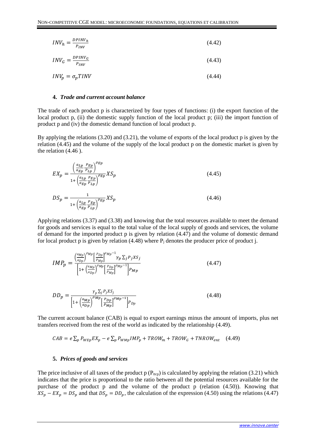$$
INV_{h} = \frac{DPINV_{h}}{P_{INV}} \tag{4.42}
$$
\n
$$
INV_{G} = \frac{DPINV_{G}}{P_{INV}} \tag{4.43}
$$
\n
$$
INV_{p} = \sigma_{p}TINV \tag{4.44}
$$

#### **4.** *Trade and current account balance*

<span id="page-24-0"></span>The trade of each product p is characterized by four types of functions: (i) the export function of the local product p, (ii) the domestic supply function of the local product p; (iii) the import function of product p and (iv) the domestic demand function of local product p.

By applying the relations (3.20) and (3.21), the volume of exports of the local product p is given by the relation (4.45) and the volume of the supply of the local product p on the domestic market is given by the relation (4.46 ).

$$
EX_p = \frac{\left(\frac{a_{LP}}{a_{Ep}} \frac{P_{Ep}}{P_{Lp}}\right)^{\rho_{Ep}}}{1 + \left(\frac{a_{LP}}{a_{Ep}} \frac{P_{Ep}}{P_{Lp}}\right)^{\rho_{Ep}}}
$$
\n
$$
DS_p = \frac{1}{1 + \left(\frac{a_{LP}}{a_{Ep}} \frac{P_{Ep}}{P_{Lp}}\right)^{\rho_{Ep}}}
$$
\n
$$
(4.46)
$$

Applying relations (3.37) and (3.38) and knowing that the total resources available to meet the demand for goods and services is equal to the total value of the local supply of goods and services, the volume of demand for the imported product p is given by relation (4.47) and the volume of domestic demand for local product p is given by relation  $(4.48)$  where  $P_i$  denotes the producer price of product j.

$$
IMP_{p} = \frac{\left(\frac{a_{Mp}}{a_{bp}}\right)^{\rho_{Mp}} \left[\frac{P_{Dp}}{P_{Mp}}\right]^{\rho_{Mp}-1} \gamma_{p} \sum_{j} P_{j} X S_{j}}{\left[1 + \left(\frac{a_{Mp}}{a_{bp}}\right)^{\rho_{Mp}} \left[\frac{P_{Dp}}{P_{Mp}}\right]^{\rho_{Mp}-1}\right] P_{Mp}}
$$
(4.47)

$$
DD_p = \frac{\gamma_p \sum_j P_j X S_j}{\left[1 + \left(\frac{a_{Mp}}{a_{Dp}}\right)^{PMp} \left[\frac{P_{DD}}{P_{Mp}}\right]^{PMp^{-1}}\right] P_{Dp}}
$$
(4.48)

The current account balance (CAB) is equal to export earnings minus the amount of imports, plus net transfers received from the rest of the world as indicated by the relationship (4.49).

$$
CAB = e \sum_{p} P_{WEp} E X_{p} - e \sum_{p} P_{WMp} I MP_{p} + TROW_{m} + TROW_{G} + T NROW_{ent} \quad (4.49)
$$

#### **5.** *Prices of goods and services*

<span id="page-24-1"></span>The price inclusive of all taxes of the product  $p(P_{ttop})$  is calculated by applying the relation (3.21) which indicates that the price is proportional to the ratio between all the potential resources available for the purchase of the product p and the volume of the product p (relation (4.50)). Knowing that  $XS_p - EX_p = DS_p$  and that  $DS_p = DD_p$ , the calculation of the expression (4.50) using the relations (4.47)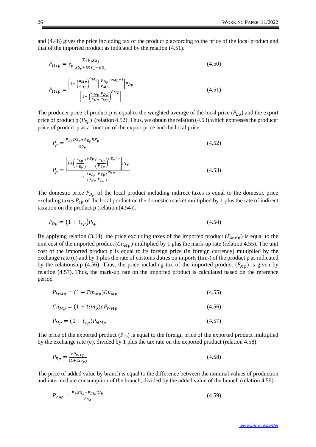and (4.48) gives the price including tax of the product p according to the price of the local product and that of the imported product as indicated by the relation (4.51).

$$
P_{ttop} = \gamma_p \frac{\sum_j P_j X S_j}{X S_p + I M P_p - E X_p}
$$
\n
$$
P_{ttop} = \frac{\left[1 + \left(\frac{a_{Mp}}{a_{Dp}}\right)^{\rho M p} \left[\frac{P_{DP}}{P_{Mp}}\right]^{\rho M p}\right] P_{Dp}}{\left[1 + \left(\frac{a_{Mp}}{a_{Dp}} \frac{P_{DP}}{P_{Mp}}\right)^{\rho M p}\right]}
$$
\n
$$
(4.51)
$$

 $a_{Dp}$ 

The producer price of product p is equal to the weighted average of the local price  $(P_{Lp})$  and the export price of product p ( $P_{Ep}$ ) (relation 4.52). Thus, we obtain the relation (4.53) which expresses the producer price of product p as a function of the export price and the local price.

$$
P_p = \frac{P_{Lp} D S_p + P_{Ep} E X_p}{X S_p}
$$
(4.52)  

$$
P_p = \frac{\left[1 + \left(\frac{a_{Lp}}{a_{Ep}}\right)^{\rho_{Ep}} \left(\frac{P_{Ep}}{P_{Lp}}\right)^{\rho_{Ep}+1}\right] P_{Lp}}{1 + \left(\frac{a_{Lp}}{a_{Ep}} \frac{P_{Ep}}{P_{Lp}}\right)^{\rho_{Ep}}}
$$
(4.53)

The domestic price  $P_{Dp}$  of the local product including indirect taxes is equal to the domestic price excluding taxes  $P_{Lp}$  of the local product on the domestic market multiplied by 1 plus the rate of indirect taxation on the product p (relation (4.54)).

$$
P_{Dp} = (1 + t_{xp})P_{Lp} \tag{4.54}
$$

By applying relation (3.14), the price excluding taxes of the imported product  $(P_{h t M p})$  is equal to the unit cost of the imported product  $(Uu_{Mp})$  multiplied by 1 plus the mark-up rate (relation 4.55). The unit cost of the imported product p is equal to its foreign price (in foreign currency) multiplied by the exchange rate (e) and by 1 plus the rate of customs duties on imports (timp) of the product p as indicated by the relationship (4.56). Thus, the price including tax of the imported product ( $P_{Mn}$ ) is given by relation (4.57). Thus, the mark-up rate on the imported product is calculated based on the reference period

$$
P_{htMp} = (1 + Tm_{Mp})Cu_{Mp} \tag{4.55}
$$

$$
Cu_{Mp} = (1 + \text{tim}_p)eP_{WMp} \tag{4.56}
$$

$$
P_{Mp} = (1 + t_{xp})P_{htMp} \tag{4.57}
$$

The price of the exported product  $(P_{Ep})$  is equal to the foreign price of the exported product multiplied by the exchange rate (e), divided by 1 plus the tax rate on the exported product (relation 4.58).

$$
P_{Ep} = \frac{e^p w_{Ep}}{(1 + txe_p)}\tag{4.58}
$$

The price of added value by branch is equal to the difference between the nominal values of production and intermediate consumption of the branch, divided by the added value of the branch (relation 4.59).

$$
P_{VAb} = \frac{P_b X S_b - P_{Clb} C I_b}{V A_b} \tag{4.59}
$$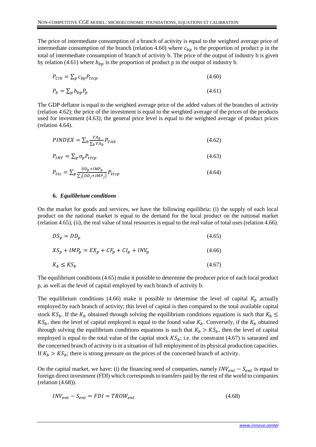The price of intermediate consumption of a branch of activity is equal to the weighted average price of intermediate consumption of the branch (relation 4.60) where  $c_{bp}$  is the proportion of product p in the total of intermediate consumption of branch of activity b. The price of the output of industry b is given by relation (4.61) where  $b_{bp}$  is the proportion of product p in the output of industry b.

$$
P_{Clb} = \sum_{p} c_{bp} P_{ttop} \tag{4.60}
$$

$$
P_b = \sum_p b_{bp} P_p \tag{4.61}
$$

The GDP deflator is equal to the weighted average price of the added values of the branches of activity (relation 4.62); the price of the investment is equal to the weighted average of the prices of the products used for investment (4.63); the general price level is equal to the weighted average of product prices (relation 4.64).

$$
PINDER = \sum_{b} \frac{VA_b}{\sum_{b} VA_b} P_{VAb}
$$
\n(4.62)

$$
P_{INV} = \sum_{p} \sigma_p P_{ttop} \tag{4.63}
$$

$$
P_{ttc} = \sum_{p} \frac{DD_p + IMP_p}{\sum_{j}(DD_j + IMP_j)} P_{ttcp}
$$
\n(4.64)

## **6.** *Equilibrium conditions*

<span id="page-26-0"></span>On the market for goods and services, we have the following equilibria: (i) the supply of each local product on the national market is equal to the demand for the local product on the national market (relation 4.65), (ii), the real value of total resources is equal to the real value of total uses (relation 4.66).

$$
DS_p = DD_p \tag{4.65}
$$

$$
XS_p + IMP_p = EX_p + CF_p + CI_p + INV_p \tag{4.66}
$$

$$
K_b \le KS_b \tag{4.67}
$$

The equilibrium conditions (4.65) make it possible to determine the producer price of each local product p, as well as the level of capital employed by each branch of activity b.

The equilibrium conditions (4.66) make it possible to determine the level of capital  $K_b$  actually employed by each branch of activity; this level of capital is then compared to the total available capital stock  $KS_b$ . If the  $K_b$  obtained through solving the equilibrium conditions equations is such that  $K_b \leq$  $KS_h$ , then the level of capital employed is equal to the found value  $K_b$ . Conversely, if the  $K_b$  obtained through solving the equilibrium conditions equations is such that  $K_b > KS_b$ , then the level of capital employed is equal to the total value of the capital stock  $KS_b$ ; i.e. the constraint (4.67) is saturated and the concerned branch of activity is in a situation of full employment of its physical production capacities. If  $K_b > KS_b$ ; there is strong pressure on the prices of the concerned branch of activity.

On the capital market, we have: (i) the financing need of companies, namely  $INV_{ent} - S_{ent}$  is equal to foreign direct investment (FDI) which corresponds to transfers paid by the rest of the world to companies (relation (4.68)).

$$
INV_{ent} - S_{ent} = FDI = TROW_{ent}
$$
\n
$$
(4.68)
$$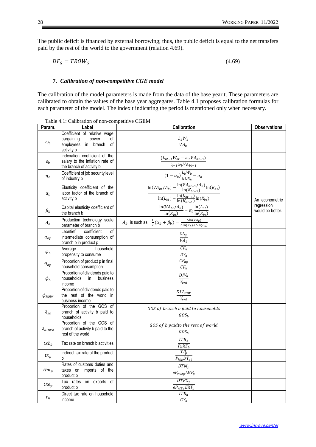The public deficit is financed by external borrowing; thus, the public deficit is equal to the net transfers paid by the rest of the world to the government (relation 4.69).

 $DF_G = TROW_G$  (4.69)

## **7.** *Calibration of non-competitive CGE model*

<span id="page-27-0"></span>The calibration of the model parameters is made from the data of the base year t. These parameters are calibrated to obtain the values of the base year aggregates. Table 4.1 proposes calibration formulas for each parameter of the model. The index t indicating the period is mentioned only when necessary.

| Param.           | Label                                                                                                   | <b>Calibration</b>                                                                                                                                                                                                                 | <b>Observations</b>            |
|------------------|---------------------------------------------------------------------------------------------------------|------------------------------------------------------------------------------------------------------------------------------------------------------------------------------------------------------------------------------------|--------------------------------|
| $\omega_b$       | Coefficient of relative wage<br>bargaining<br>power<br>οf<br>in branch<br>οf<br>employees<br>activity b | $\frac{L_b W_b}{VA_b}$                                                                                                                                                                                                             |                                |
| $\varepsilon_b$  | Indexation coefficient of the<br>salary to the inflation rate of<br>the branch of activity b            | $\frac{(L_{bt-1}W_{bt} - \omega_bVA_{bt-1})}{i_{t-1}\omega_bVA_{bt-1}}$                                                                                                                                                            |                                |
| $\eta_b$         | Coefficient of job security level<br>of industry b                                                      | $(1-\alpha_b)\frac{L_bW_b}{GOS} - \alpha_b$                                                                                                                                                                                        |                                |
| $\alpha_b$       | Elasticity coefficient of the<br>labor factor of the branch of<br>activity b                            | $\ln(VA_{bt}/A_b) - \frac{\ln(VA_{bt-1}/A_b)}{\ln(K_{bt-1})}\ln(K_{bt})$<br>$\frac{\ln(L_{bt}) - \frac{\ln(L_{bt-1})}{\ln(K_{bt-1})}\ln(K_{bt})}{\frac{\ln(VA_{bt}/A_b)}{\ln(K_{bt})} - \alpha_b \frac{\ln(L_{bt})}{\ln(K_{bt})}}$ | An econometric                 |
| $\beta_b$        | Capital elasticity coefficient of<br>the branch b                                                       |                                                                                                                                                                                                                                    | regression<br>would be better. |
| $A_b$            | Production technology scale<br>parameter of branch b                                                    | $A_b$ is such as $\frac{1}{2}(\alpha_b + \beta_b) = \frac{\Delta \ln(VA_b)}{\Delta \ln(K_b) + \Delta \ln(L_b)}$                                                                                                                    |                                |
| $a_{bp}$         | coefficient<br>Leontief<br>of<br>intermediate consumption of<br>branch b in product p                   | $CI_{bp}$<br>VA <sub>b</sub>                                                                                                                                                                                                       |                                |
| $\varphi_h$      | household<br>Average<br>propensity to consume                                                           | $\mathit{CF}_h$<br>$DY_h$                                                                                                                                                                                                          |                                |
| $\vartheta_{hp}$ | Proportion of product p in final<br>household consumption                                               | $CF_{hp}$<br>CF <sub>h</sub>                                                                                                                                                                                                       |                                |
| $\phi_h$         | Proportion of dividends paid to<br>households<br>in<br>business<br>income                               | DIV <sub>h</sub><br>$Y_{ent}$                                                                                                                                                                                                      |                                |
| $\phi_{Row}$     | Proportion of dividends paid to<br>the rest of the world in<br>business income                          | $DIV_{Row}$<br>$Y_{ent}$                                                                                                                                                                                                           |                                |
| $\lambda_{hb}$   | Proportion of the GOS of<br>branch of activity b paid to<br>households                                  | GOS of branch b paid to households<br>$GOS_h$                                                                                                                                                                                      |                                |
| $\lambda_{ROWb}$ | Proportion of the GOS of<br>branch of activity b paid to the<br>rest of the world                       | GOS of b paidto the rest of world<br>GOS <sub>b</sub>                                                                                                                                                                              |                                |
| $txb_b$          | Tax rate on branch b activities                                                                         | ITB <sub>b</sub><br>$\overline{P_bXS_b}$                                                                                                                                                                                           |                                |
| $tx_p$           | Indirect tax rate of the product<br>p                                                                   | $TP_p$<br>$\overline{P_{htp}DT_{pt}}$                                                                                                                                                                                              |                                |
| $tim_p$          | Rates of customs duties and<br>taxes on imports of the<br>product p                                     | $DTM_p$<br>$eP_{WMp}\overline{IMP_p}$                                                                                                                                                                                              |                                |
| $txe_p$          | Tax rates on exports of<br>product p                                                                    | $DTEX_p$<br>$eP_{WEp}EXP_p$                                                                                                                                                                                                        |                                |
| $t_h$            | Direct tax rate on household<br>income                                                                  | $ITR_h$<br>$GY_h$                                                                                                                                                                                                                  |                                |

Table 4.1: Calibration of non-competitive CGEM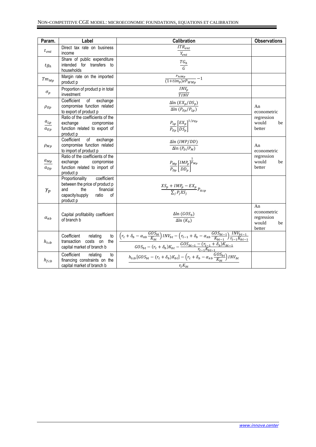| Param.               | Label                                                                                                                                      | Calibration                                                                                                                                                                                                                                                                                           | <b>Observations</b>                                      |
|----------------------|--------------------------------------------------------------------------------------------------------------------------------------------|-------------------------------------------------------------------------------------------------------------------------------------------------------------------------------------------------------------------------------------------------------------------------------------------------------|----------------------------------------------------------|
| $t_{ent}$            | Direct tax rate on business<br>income                                                                                                      | $ITR_{ent}$<br>$\overline{Y}_{ent}$                                                                                                                                                                                                                                                                   |                                                          |
| $tg_h$               | Share of public expenditure<br>intended for transfers to<br>households                                                                     | $rac{TG_h}{G}$                                                                                                                                                                                                                                                                                        |                                                          |
| $Tm_{Mp}$            | Margin rate on the imported<br>product p                                                                                                   | $\frac{P_{htMp}}{(1+tim_p)eP_{WMp}}-1$                                                                                                                                                                                                                                                                |                                                          |
| $\sigma_p$           | Proportion of product p in total<br>investment                                                                                             | $\frac{INV_p}{TINV}$                                                                                                                                                                                                                                                                                  |                                                          |
| $\rho_{Ep}$          | Coefficient<br>of<br>exchange<br>compromise function related<br>to export of product p                                                     | $\Delta$ ln $(EX_p/DS_p)$<br>$\Delta$ ln $(P_{Ep}/P_{Lp})$                                                                                                                                                                                                                                            | An<br>econometric                                        |
| $a_{Lp}$<br>$a_{Ep}$ | Ratio of the coefficients of the<br>exchange<br>compromise<br>function related to export of<br>product p                                   | $\frac{P_{Lp}}{P_{Ep}}\left[\frac{EX_p}{DS_n}\right]^{1/\rho_{Ep}}$                                                                                                                                                                                                                                   | regression<br>would<br>be<br>better                      |
| $\rho_{Mp}$          | of<br>Coefficient<br>exchange<br>compromise function related<br>to import of product p                                                     | $\Delta$ ln ( <i>IMP</i> / <i>DD</i> )<br>$\Delta$ ln $(P_D/P_M)$                                                                                                                                                                                                                                     | An<br>econometric                                        |
| $a_{Mp}$<br>$a_{Dp}$ | Ratio of the coefficients of the<br>exchange<br>compromise<br>function related to import of<br>product p                                   | $\frac{P_{Mp}}{P_{Dn}}\left[\frac{IMP_p}{DD_n}\right]^{\overline{\rho}_{Mp}}$                                                                                                                                                                                                                         | regression<br>would<br>be<br>better                      |
| $\gamma_p$           | Proportionality<br>coefficient<br>between the price of product p<br>the<br>financial<br>and<br>capacity/supply<br>of<br>ratio<br>product p | $\frac{XS_p + IMP_p - EX_p}{\sum_i P_iXS_i} P_{ttcp}$                                                                                                                                                                                                                                                 |                                                          |
| $\alpha_{\pi b}$     | Capital profitability coefficient<br>of branch b                                                                                           | $\frac{\Delta \ln (GOS_b)}{\Delta \ln (K_b)}$                                                                                                                                                                                                                                                         | An<br>econometric<br>regression<br>would<br>be<br>better |
| $h_{tcb}$            | $\mathsf{to}$<br>Coefficient<br>relating<br>transaction<br>costs on<br>the<br>capital market of branch b                                   | $\frac{\left(r_{t}+\delta_{b}-\alpha_{\pi b}\frac{GOS_{bt}}{K_{bt}}\right)lNV_{bt}-\left(r_{t-1}+\delta_{b}-\alpha_{\pi b}\frac{GOS_{bt-1}}{K_{bt-1}}\right)\frac{INV_{bt-1}}{r_{t-1}K_{bt-1}}} {GOS_{bt}-(r_{t}+\delta_{b})K_{bt}}-\frac{GOS_{bt-1}-(r_{t-1}+\delta_{b})K_{bt-1}}{r_{t-1}K_{bt-1}}}$ |                                                          |
| $h_{fcb}$            | Coefficient<br>relating<br>to<br>financing constraints on the<br>capital market of branch b                                                | $h_{tcb} [GOS_{bt} - (r_t + \delta_b)K_{bt}] - \left(r_t + \delta_b - \alpha_{\pi b} \frac{GOS_{bt}}{K_{bt}}\right) INV_{bt}$<br>$r_t K_{bt}$                                                                                                                                                         |                                                          |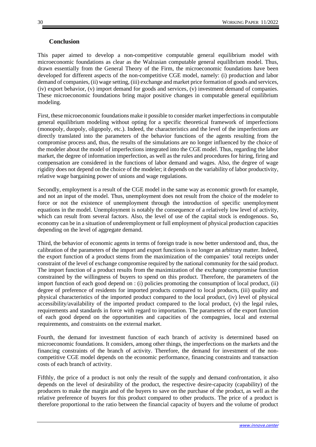## <span id="page-29-0"></span>**Conclusion**

This paper aimed to develop a non-competitive computable general equilibrium model with microeconomic foundations as clear as the Walrasian computable general equilibrium model. Thus, drawn essentially from the General Theory of the Firm, the microeconomic foundations have been developed for different aspects of the non-competitive CGE model, namely: (i) production and labor demand of companies, (ii) wage setting, (iii) exchange and market price formation of goods and services, (iv) export behavior, (v) import demand for goods and services, (v) investment demand of companies. These microeconomic foundations bring major positive changes in computable general equilibrium modeling.

First, these microeconomic foundations make it possible to consider market imperfectionsin computable general equilibrium modeling without opting for a specific theoretical framework of imperfections (monopoly, duopoly, oligopoly, etc.). Indeed, the characteristics and the level of the imperfections are directly translated into the parameters of the behavior functions of the agents resulting from the compromise process and, thus, the results of the simulations are no longer influenced by the choice of the modeler about the model of imperfections integrated into the CGE model. Thus, regarding the labor market, the degree of information imperfection, as well as the rules and procedures for hiring, firing and compensation are considered in the functions of labor demand and wages. Also, the degree of wage rigidity does not depend on the choice of the modeler; it depends on the variability of labor productivity, relative wage bargaining power of unions and wage regulations.

Secondly, employment is a result of the CGE model in the same way as economic growth for example, and not an input of the model. Thus, unemployment does not result from the choice of the modeler to force or not the existence of unemployment through the introduction of specific unemployment equations in the model. Unemployment is notably the consequence of a relatively low level of activity, which can result from several factors. Also, the level of use of the capital stock is endogenous. So, economy can be in a situation of underemployment or full employment of physical production capacities depending on the level of aggregate demand.

Third, the behavior of economic agents in terms of foreign trade is now better understood and, thus, the calibration of the parameters of the import and export functions is no longer an arbitrary matter. Indeed, the export function of a product stems from the maximization of the companies' total receipts under constraint of the level of exchange compromise required by the national community for the said product. The import function of a product results from the maximization of the exchange compromise function constrained by the willingness of buyers to spend on this product. Therefore, the parameters of the import function of each good depend on : (i) policies promoting the consumption of local product, (ii) degree of preference of residents for imported products compared to local products, (iii) quality and physical characteristics of the imported product compared to the local product, (iv) level of physical accessibility/availability of the imported product compared to the local product, (v) the legal rules, requirements and standards in force with regard to importation. The parameters of the export function of each good depend on the opportunities and capacities of the compagnies, local and external requirements, and constraints on the external market.

Fourth, the demand for investment function of each branch of activity is determined based on microeconomic foundations. It considers, among other things, the imperfections on the markets and the financing constraints of the branch of activity. Therefore, the demand for investment of the noncompetitive CGE model depends on the economic performance, financing constraints and transaction costs of each branch of activity.

Fifthly, the price of a product is not only the result of the supply and demand confrontation, it also depends on the level of desirability of the product, the respective desire-capacity (capability) of the producers to make the margin and of the buyers to save on the purchase of the product, as well as the relative preference of buyers for this product compared to other products. The price of a product is therefore proportional to the ratio between the financial capacity of buyers and the volume of product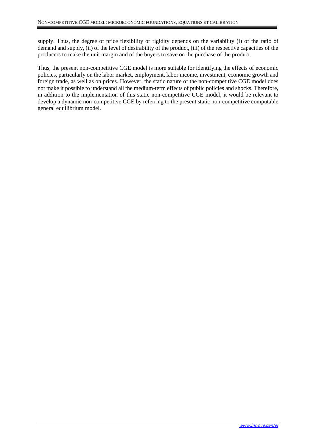supply. Thus, the degree of price flexibility or rigidity depends on the variability (i) of the ratio of demand and supply, (ii) of the level of desirability of the product, (iii) of the respective capacities of the producers to make the unit margin and of the buyers to save on the purchase of the product.

Thus, the present non-competitive CGE model is more suitable for identifying the effects of economic policies, particularly on the labor market, employment, labor income, investment, economic growth and foreign trade, as well as on prices. However, the static nature of the non-competitive CGE model does not make it possible to understand all the medium-term effects of public policies and shocks. Therefore, in addition to the implementation of this static non-competitive CGE model, it would be relevant to develop a dynamic non-competitive CGE by referring to the present static non-competitive computable general equilibrium model.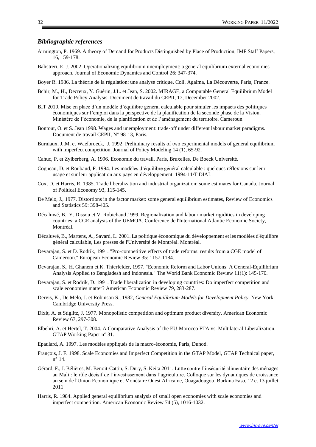#### <span id="page-31-0"></span>*Bibliographic references*

- Armington, P. 1969. A theory of Demand for Products Distinguished by Place of Production, IMF Staff Papers, 16, 159-178.
- Balistreri, E. J. 2002. Operationalizing equilibrium unemployment: a general equilibrium external economies approach. Journal of Economic Dynamics and Control 26: 347-374.
- Boyer R. 1986. La théorie de la régulation: une analyse critique, Coll. Agalma, La Découverte, Paris, France.
- Bchir, M., H., Decreux, Y. Guérin, J.L. et Jean, S. 2002. MIRAGE, a Computable General Equilibrium Model for Trade Policy Analysis. Document de travail du CEPII, 17, December 2002.
- BIT 2019. Mise en place d'un modèle d'équilibre général calculable pour simuler les impacts des politiques économiques sur l'emploi dans la perspective de la planification de la seconde phase de la Vision. Ministère de l'économie, de la planification et de l'aménagement du territoire. Cameroun.
- Bontout, O. et S. Jean 1998. Wages and unemployment: trade-off under different labour market paradigms. Document de travail CEPII, N° 98-13, Paris.
- Burniaux, J.,M. et Waelbroeck, J. 1992. Preliminary results of two experimental models of general equilibrium with imperfect competition. Journal of Policy Modeling 14 (1), 65-92.
- Cahuc, P. et Zylberberg, A. 1996. Economie du travail. Paris, Bruxelles, De Boeck Université.
- Cogneau, D. et Roubaud, F. 1994. Les modèles d'équilibre général calculable : quelques réflexions sur leur usage et sur leur application aux pays en développement. 1994-11/T DIAL.
- Cox, D. et Harris, R. 1985. Trade liberalization and industrial organization: some estimates for Canada. Journal of Political Economy 93, 115-145.
- De Melo, J., 1977. Distortions in the factor market: some general equilibrium estimates, Review of Economics and Statistics 59: 398-405.
- Décaluwé, B., Y. Dissou et V. Robichaud,1999. Regionalization and labour market rigidities in developing countries: a CGE analysis of the UEMOA. Conférence de l'International Atlantic Economic Society, Montréal.
- Décaluwé, B., Martens, A., Savard, L. 2001. La politique économique du développement et les modèles d'équilibre général calculable, Les presses de l'Université de Montréal. Montréal.
- Devarajan, S. et D. Rodrik, 1991. "Pro-competitive effects of trade reforms: results from a CGE model of Cameroon." European Economic Review 35: 1157-1184.
- Devarajan, S., H. Ghanem et K. Thierfelder, 1997. "Economic Reform and Labor Unions: A General-Equilibrium Analysis Applied to Bangladesh and Indonesia." The World Bank Economic Review 11(1): 145-170.
- Devarajan, S. et Rodrik, D. 1991. Trade liberalization in developing countries: Do imperfect competition and scale economies matter? American Economic Review 79, 283-287.
- Dervis, K., De Melo, J. et Robinson S., 1982*, General Equilibrium Models for Development Policy*. New York: Cambridge University Press.
- Dixit, A. et Stiglitz, J. 1977. Monopolistic competition and optimum product diversity. American Economic Review 67, 297-308.
- Elbehri, A. et Hertel, T. 2004. A Comparative Analysis of the EU-Morocco FTA vs. Multilateral Liberalization. GTAP Working Paper n° 31.
- Epaulard, A. 1997. Les modèles appliqués de la macro-économie, Paris, Dunod.
- François, J. F. 1998. Scale Economies and Imperfect Competition in the GTAP Model, GTAP Technical paper, n° 14.
- Gérard, F., J. Bélières, M. Benoit-Cattin, S. Dury, S. Keita 2011. Lutte contre l'insécurité alimentaire des ménages au Mali : le rôle décisif de l'investissement dans l'agriculture. Colloque sur les dynamiques de croissance au sein de l'Union Economique et Monétaire Ouest Africaine, Ouagadougou, Burkina Faso, 12 et 13 juillet 2011
- Harris, R. 1984. Applied general equilibrium analysis of small open economies with scale economies and imperfect competition. American Economic Review 74 (5), 1016-1032.